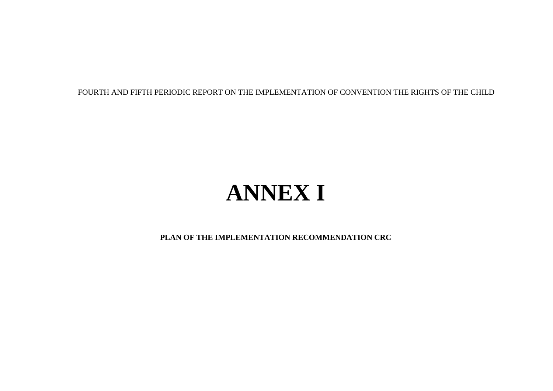FOURTH AND FIFTH PERIODIC REPORT ON THE IMPLEMENTATION OF CONVENTION THE RIGHTS OF THE CHILD

## **ANNEX I**

**PLAN OF THE IMPLEMENTATION RECOMMENDATION CRC**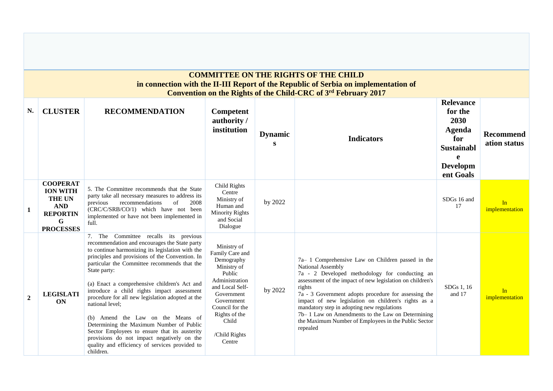|              |                                                                                                                         |                                                                                                                                                                                                                                                                                                                                                                                                                                                                                                                                                                                                                                                                                   |                                                                                                                                                                                                                |                     | <b>COMMITTEE ON THE RIGHTS OF THE CHILD</b><br>in connection with the II-III Report of the Republic of Serbia on implementation of<br>Convention on the Rights of the Child-CRC of 3rd February 2017                                                                                                                                                                                                                                                                                |                                                                                                                |                                  |
|--------------|-------------------------------------------------------------------------------------------------------------------------|-----------------------------------------------------------------------------------------------------------------------------------------------------------------------------------------------------------------------------------------------------------------------------------------------------------------------------------------------------------------------------------------------------------------------------------------------------------------------------------------------------------------------------------------------------------------------------------------------------------------------------------------------------------------------------------|----------------------------------------------------------------------------------------------------------------------------------------------------------------------------------------------------------------|---------------------|-------------------------------------------------------------------------------------------------------------------------------------------------------------------------------------------------------------------------------------------------------------------------------------------------------------------------------------------------------------------------------------------------------------------------------------------------------------------------------------|----------------------------------------------------------------------------------------------------------------|----------------------------------|
| N.           | <b>CLUSTER</b>                                                                                                          | <b>RECOMMENDATION</b>                                                                                                                                                                                                                                                                                                                                                                                                                                                                                                                                                                                                                                                             | Competent<br>authority/<br>institution                                                                                                                                                                         | <b>Dynamic</b><br>S | <b>Indicators</b>                                                                                                                                                                                                                                                                                                                                                                                                                                                                   | <b>Relevance</b><br>for the<br>2030<br><b>Agenda</b><br>for<br><b>Sustainabl</b><br>e<br>Developm<br>ent Goals | <b>Recommend</b><br>ation status |
| $\mathbf{1}$ | <b>COOPERAT</b><br><b>ION WITH</b><br><b>THE UN</b><br><b>AND</b><br><b>REPORTIN</b><br>$\mathbf G$<br><b>PROCESSES</b> | 5. The Committee recommends that the State<br>party take all necessary measures to address its<br>recommendations<br>2008<br>previous<br>of<br>(CRC/C/SRB/CO/1) which have not been<br>implemented or have not been implemented in<br>full.                                                                                                                                                                                                                                                                                                                                                                                                                                       | Child Rights<br>Centre<br>Ministry of<br>Human and<br><b>Minority Rights</b><br>and Social<br>Dialogue                                                                                                         | by 2022             |                                                                                                                                                                                                                                                                                                                                                                                                                                                                                     | SDGs 16 and<br>17                                                                                              | In<br>implementation             |
| $\mathbf{2}$ | <b>LEGISLATI</b><br><b>ON</b>                                                                                           | 7. The Committee recalls its previous<br>recommendation and encourages the State party<br>to continue harmonizing its legislation with the<br>principles and provisions of the Convention. In<br>particular the Committee recommends that the<br>State party:<br>(a) Enact a comprehensive children's Act and<br>introduce a child rights impact assessment<br>procedure for all new legislation adopted at the<br>national level;<br>(b) Amend the Law on the Means of<br>Determining the Maximum Number of Public<br>Sector Employees to ensure that its austerity<br>provisions do not impact negatively on the<br>quality and efficiency of services provided to<br>children. | Ministry of<br>Family Care and<br>Demography<br>Ministry of<br>Public<br>Administration<br>and Local Self-<br>Government<br>Government<br>Council for the<br>Rights of the<br>Child<br>/Child Rights<br>Centre | by 2022             | 7a-1 Comprehensive Law on Children passed in the<br>National Assembly<br>7a - 2 Developed methodology for conducting an<br>assessment of the impact of new legislation on children's<br>rights<br>7a - 3 Government adopts procedure for assessing the<br>impact of new legislation on children's rights as a<br>mandatory step in adopting new regulations<br>7b-1 Law on Amendments to the Law on Determining<br>the Maximum Number of Employees in the Public Sector<br>repealed | SDGs 1, 16<br>and 17                                                                                           | In<br>implementation             |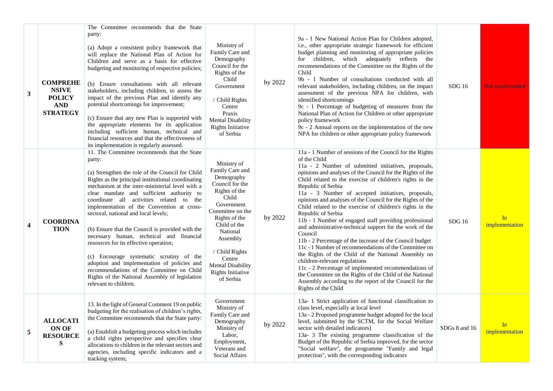| 3                       | <b>COMPREHE</b><br><b>NSIVE</b><br><b>POLICY</b><br><b>AND</b><br><b>STRATEGY</b> | The Committee recommends that the State<br>party:<br>(a) Adopt a consistent policy framework that<br>will replace the National Plan of Action for<br>Children and serve as a basis for effective<br>budgeting and monitoring of respective policies;<br>(b) Ensure consultations with all relevant<br>stakeholders, including children, to assess the<br>impact of the previous Plan and identify any<br>potential shortcomings for improvement;<br>(c) Ensure that any new Plan is supported with<br>the appropriate elements for its application<br>including sufficient human, technical and<br>financial resources and that the effectiveness of<br>its implementation is regularly assessed.                                                              | Ministry of<br>Family Care and<br>Demography<br>Council for the<br>Rights of the<br>Child<br>Government<br>/ Child Rights<br>Centre<br>Praxis<br><b>Mental Disability</b><br><b>Rights Initiative</b><br>of Serbia                                                             | by 2022 | 9a - 1 New National Action Plan for Children adopted,<br>i.e., other appropriate strategic framework for efficient<br>budget planning and monitoring of appropriate policies<br>for children, which adequately reflects the<br>recommendations of the Committee on the Rights of the<br>Child<br>9b - 1 Number of consultations conducted with all<br>relevant stakeholders, including children, on the impact<br>assessment of the previous NPA for children, with<br>identified shortcomings<br>9c - 1 Percentage of budgeting of measures from the<br>National Plan of Action for Children or other appropriate<br>policy framework<br>$9c - 2$ Annual reports on the implementation of the new<br>NPA for children or other appropriate policy framework                                                                                                                                                                                                                                                                                | SDG16         | Not implemented      |
|-------------------------|-----------------------------------------------------------------------------------|----------------------------------------------------------------------------------------------------------------------------------------------------------------------------------------------------------------------------------------------------------------------------------------------------------------------------------------------------------------------------------------------------------------------------------------------------------------------------------------------------------------------------------------------------------------------------------------------------------------------------------------------------------------------------------------------------------------------------------------------------------------|--------------------------------------------------------------------------------------------------------------------------------------------------------------------------------------------------------------------------------------------------------------------------------|---------|---------------------------------------------------------------------------------------------------------------------------------------------------------------------------------------------------------------------------------------------------------------------------------------------------------------------------------------------------------------------------------------------------------------------------------------------------------------------------------------------------------------------------------------------------------------------------------------------------------------------------------------------------------------------------------------------------------------------------------------------------------------------------------------------------------------------------------------------------------------------------------------------------------------------------------------------------------------------------------------------------------------------------------------------|---------------|----------------------|
| $\overline{\mathbf{4}}$ | <b>COORDINA</b><br><b>TION</b>                                                    | 11. The Committee recommends that the State<br>party:<br>(a) Strengthen the role of the Council for Child<br>Rights as the principal institutional coordinating<br>mechanism at the inter-ministerial level with a<br>clear mandate and sufficient authority to<br>coordinate all activities related to the<br>implementation of the Convention at cross-<br>sectoral, national and local levels;<br>(b) Ensure that the Council is provided with the<br>necessary human, technical and financial<br>resources for its effective operation;<br>(c) Encourage systematic scrutiny of the<br>adoption and implementation of policies and<br>recommendations of the Committee on Child<br>Rights of the National Assembly of legislation<br>relevant to children. | Ministry of<br>Family Care and<br>Demography<br>Council for the<br>Rights of the<br>Child<br>Government<br>Committee on the<br>Rights of the<br>Child of the<br>National<br>Assembly<br>/ Child Rights<br>Centre<br><b>Mental Disability</b><br>Rights Initiative<br>of Serbia | by 2022 | 11a - 1 Number of sessions of the Council for the Rights<br>of the Child<br>11a - 2 Number of submitted initiatives, proposals,<br>opinions and analyses of the Council for the Rights of the<br>Child related to the exercise of children's rights in the<br>Republic of Serbia<br>11a - 3 Number of accepted initiatives, proposals,<br>opinions and analyses of the Council for the Rights of the<br>Child related to the exercise of children's rights in the<br>Republic of Serbia<br>11b - 1 Number of engaged staff providing professional<br>and administrative-technical support for the work of the<br>Council<br>11b - 2 Percentage of the increase of the Council budget<br>11c - 1 Number of recommendations of the Committee on<br>the Rights of the Child of the National Assembly on<br>children-relevant regulations<br>11c - 2 Percentage of implemented recommendations of<br>the Committee on the Rights of the Child of the National<br>Assembly according to the report of the Council for the<br>Rights of the Child | SDG 16        | In<br>implementation |
| 5                       | <b>ALLOCATI</b><br>ON OF<br><b>RESOURCE</b><br>S                                  | 13. In the light of General Comment 19 on public<br>budgeting for the realisation of children's rights,<br>the Committee recommends that the State party:<br>(a) Establish a budgeting process which includes<br>a child rights perspective and specifies clear<br>allocations to children in the relevant sectors and<br>agencies, including specific indicators and a<br>tracking system;                                                                                                                                                                                                                                                                                                                                                                    | Government<br>Ministry of<br>Family Care and<br>Demography<br>Ministry of<br>Labor,<br>Employment,<br>Veterans and<br>Social Affairs                                                                                                                                           | by 2022 | 13a- 1 Strict application of functional classification to<br>class level, especially at local level<br>13a - 2 Proposed programme budget adopted for the local<br>level, submitted by the SCTM, for the Social Welfare<br>sector with detailed indicators)<br>13a- 3 The existing programme classification of the<br>Budget of the Republic of Serbia improved, for the sector<br>"Social welfare", the programme "Family and legal<br>protection", with the corresponding indicators                                                                                                                                                                                                                                                                                                                                                                                                                                                                                                                                                       | SDGs 8 and 16 | In<br>implementation |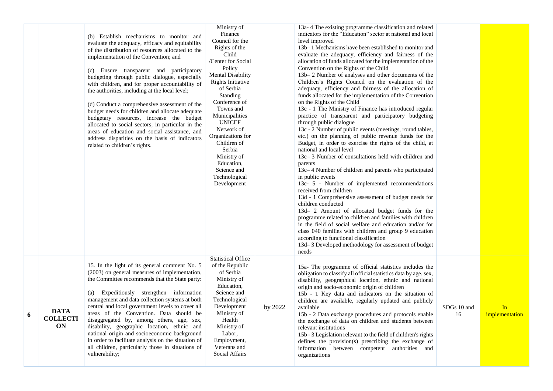|   |                                      |                                                                                                                                                                                                                                                                                                                                                                                                                                                                                                                                                                                                                                                                                                                                      | Ministry of                                                                                                                                                                                                                                                                                                                                                                    |         | 13a-4 The existing programme classification and related                                                                                                                                                                                                                                                                                                                                                                                                                                                                                                                                                                                                                                                                                                                                                                                                                                                                                                                                                                                                                                                                                                                                                                                                                                                                                                                                                                                                                                                                                                                                    |                   |                      |
|---|--------------------------------------|--------------------------------------------------------------------------------------------------------------------------------------------------------------------------------------------------------------------------------------------------------------------------------------------------------------------------------------------------------------------------------------------------------------------------------------------------------------------------------------------------------------------------------------------------------------------------------------------------------------------------------------------------------------------------------------------------------------------------------------|--------------------------------------------------------------------------------------------------------------------------------------------------------------------------------------------------------------------------------------------------------------------------------------------------------------------------------------------------------------------------------|---------|--------------------------------------------------------------------------------------------------------------------------------------------------------------------------------------------------------------------------------------------------------------------------------------------------------------------------------------------------------------------------------------------------------------------------------------------------------------------------------------------------------------------------------------------------------------------------------------------------------------------------------------------------------------------------------------------------------------------------------------------------------------------------------------------------------------------------------------------------------------------------------------------------------------------------------------------------------------------------------------------------------------------------------------------------------------------------------------------------------------------------------------------------------------------------------------------------------------------------------------------------------------------------------------------------------------------------------------------------------------------------------------------------------------------------------------------------------------------------------------------------------------------------------------------------------------------------------------------|-------------------|----------------------|
|   |                                      | (b) Establish mechanisms to monitor and<br>evaluate the adequacy, efficacy and equitability<br>of the distribution of resources allocated to the<br>implementation of the Convention; and<br>(c) Ensure transparent and participatory<br>budgeting through public dialogue, especially<br>with children, and for proper accountability of<br>the authorities, including at the local level;<br>(d) Conduct a comprehensive assessment of the<br>budget needs for children and allocate adequate<br>budgetary resources, increase the budget<br>allocated to social sectors, in particular in the<br>areas of education and social assistance, and<br>address disparities on the basis of indicators<br>related to children's rights. | Finance<br>Council for the<br>Rights of the<br>Child<br>/Center for Social<br>Policy<br><b>Mental Disability</b><br><b>Rights Initiative</b><br>of Serbia<br>Standing<br>Conference of<br>Towns and<br>Municipalities<br><b>UNICEF</b><br>Network of<br>Organizations for<br>Children of<br>Serbia<br>Ministry of<br>Education,<br>Science and<br>Technological<br>Development |         | indicators for the "Education" sector at national and local<br>level improved<br>13b–1 Mechanisms have been established to monitor and<br>evaluate the adequacy, efficiency and fairness of the<br>allocation of funds allocated for the implementation of the<br>Convention on the Rights of the Child<br>13b–2 Number of analyses and other documents of the<br>Children's Rights Council on the evaluation of the<br>adequacy, efficiency and fairness of the allocation of<br>funds allocated for the implementation of the Convention<br>on the Rights of the Child<br>13c - 1 The Ministry of Finance has introduced regular<br>practice of transparent and participatory budgeting<br>through public dialogue<br>13c - 2 Number of public events (meetings, round tables,<br>etc.) on the planning of public revenue funds for the<br>Budget, in order to exercise the rights of the child, at<br>national and local level<br>13c-3 Number of consultations held with children and<br>parents<br>13c–4 Number of children and parents who participated<br>in public events<br>13c- 5 - Number of implemented recommendations<br>received from children<br>13d - 1 Comprehensive assessment of budget needs for<br>children conducted<br>13d- 2 Amount of allocated budget funds for the<br>programme related to children and families with children<br>in the field of social welfare and education and/or for<br>class 040 families with children and group 9 education<br>according to functional classification<br>13d–3 Developed methodology for assessment of budget<br>needs |                   |                      |
| 6 | <b>DATA</b><br><b>COLLECTI</b><br>ON | 15. In the light of its general comment No. 5<br>(2003) on general measures of implementation,<br>the Committee recommends that the State party:<br>(a) Expeditiously strengthen information<br>management and data collection systems at both<br>central and local government levels to cover all<br>areas of the Convention. Data should be<br>disaggregated by, among others, age, sex,<br>disability, geographic location, ethnic and<br>national origin and socioeconomic background<br>in order to facilitate analysis on the situation of<br>all children, particularly those in situations of<br>vulnerability;                                                                                                              | <b>Statistical Office</b><br>of the Republic<br>of Serbia<br>Ministry of<br>Education,<br>Science and<br>Technological<br>Development<br>Ministry of<br>Health<br>Ministry of<br>Labor,<br>Employment,<br>Veterans and<br><b>Social Affairs</b>                                                                                                                                | by 2022 | 15a- The programme of official statistics includes the<br>obligation to classify all official statistics data by age, sex,<br>disability, geographical location, ethnic and national<br>origin and socio-economic origin of children<br>15b - 1 Key data and indicators on the situation of<br>children are available, regularly updated and publicly<br>available<br>15b - 2 Data exchange procedures and protocols enable<br>the exchange of data on children and students between<br>relevant institutions<br>15b - 3 Legislation relevant to the field of children's rights<br>defines the provision(s) prescribing the exchange of<br>information between competent authorities and<br>organizations                                                                                                                                                                                                                                                                                                                                                                                                                                                                                                                                                                                                                                                                                                                                                                                                                                                                                  | SDGs 10 and<br>16 | In<br>implementation |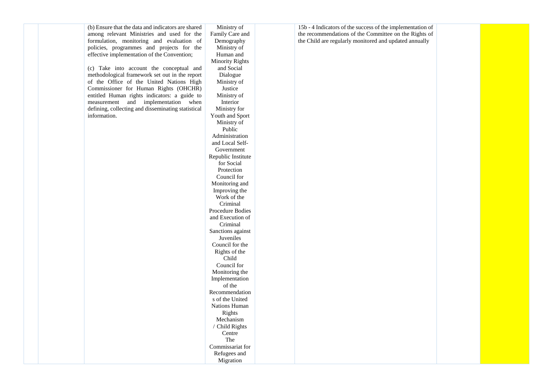(b) Ensure that the data and indicators are shared among relevant Ministries and used for the formulation, monitoring and evaluation of policies, programmes and projects for the effective implementation of the Convention;

(c) Take into account the conceptual and methodological framework set out in the report of the Office of the United Nations High Commissioner for Human Rights (OHCHR) entitled Human rights indicators: a guide to measurement and implementation when defining, collecting and disseminating statistical information.

Ministry of Family Care and Demography Ministry of Human and Minority Rights and Social Dialogue Ministry of Justice Ministry of Interior Ministry for Youth and Sport Ministry of Public Administration and Local Self-Government Republic Institute for Social Protection Council for Monitoring and Improving the Work of the Criminal Procedure Bodies and Execution of Criminal Sanctions against Juveniles Council for the Rights of the Child Council for Monitoring the Implementation of the Recommendation s of the United Nations Human Rights Mechanism / Child Rights Centre The Commissariat for Refugees and Migration

15b - 4 Indicators of the success of the implementation of the recommendations of the Committee on the Rights of the Child are regularly monitored and updated annually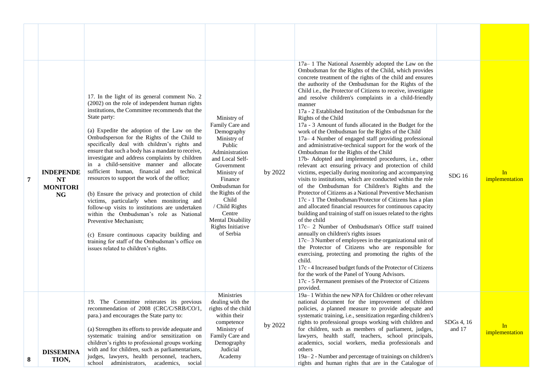| 7 | <b>INDEPENDE</b><br><b>NT</b><br><b>MONITORI</b><br>NG | 17. In the light of its general comment No. 2<br>(2002) on the role of independent human rights<br>institutions, the Committee recommends that the<br>State party:<br>(a) Expedite the adoption of the Law on the<br>Ombudsperson for the Rights of the Child to<br>specifically deal with children's rights and<br>ensure that such a body has a mandate to receive,<br>investigate and address complaints by children<br>in a child-sensitive manner and allocate<br>sufficient human, financial and technical<br>resources to support the work of the office;<br>(b) Ensure the privacy and protection of child<br>victims, particularly when monitoring and<br>follow-up visits to institutions are undertaken<br>within the Ombudsman's role as National<br>Preventive Mechanism:<br>(c) Ensure continuous capacity building and<br>training for staff of the Ombudsman's office on<br>issues related to children's rights. | Ministry of<br>Family Care and<br>Demography<br>Ministry of<br>Public<br>Administration<br>and Local Self-<br>Government<br>Ministry of<br>Finance<br>Ombudsman for<br>the Rights of the<br>Child<br>/ Child Rights<br>Centre<br><b>Mental Disability</b><br>Rights Initiative<br>of Serbia | by 2022 | 17a-1 The National Assembly adopted the Law on the<br>Ombudsman for the Rights of the Child, which provides<br>concrete treatment of the rights of the child and ensures<br>the authority of the Ombudsman for the Rights of the<br>Child <i>i.e.</i> , the Protector of Citizens to receive, investigate<br>and resolve children's complaints in a child-friendly<br>manner<br>17a - 2 Established Institution of the Ombudsman for the<br>Rights of the Child<br>17a - 3 Amount of funds allocated in the Budget for the<br>work of the Ombudsman for the Rights of the Child<br>$17a-4$ Number of engaged staff providing professional<br>and administrative-technical support for the work of the<br>Ombudsman for the Rights of the Child<br>17b- Adopted and implemented procedures, i.e., other<br>relevant act ensuring privacy and protection of child<br>victims, especially during monitoring and accompanying<br>visits to institutions, which are conducted within the role<br>of the Ombudsman for Children's Rights and the<br>Protector of Citizens as a National Preventive Mechanism<br>17c - 1 The Ombudsman/Protector of Citizens has a plan<br>and allocated financial resources for continuous capacity<br>building and training of staff on issues related to the rights<br>of the child<br>17c- 2 Number of Ombudsman's Office staff trained<br>annually on children's rights issues<br>17c-3 Number of employees in the organizational unit of<br>the Protector of Citizens who are responsible for<br>exercising, protecting and promoting the rights of the<br>child.<br>17c - 4 Increased budget funds of the Protector of Citizens<br>for the work of the Panel of Young Advisors.<br>17c - 5 Permanent premises of the Protector of Citizens | SDG 16               | In<br>implementation |
|---|--------------------------------------------------------|----------------------------------------------------------------------------------------------------------------------------------------------------------------------------------------------------------------------------------------------------------------------------------------------------------------------------------------------------------------------------------------------------------------------------------------------------------------------------------------------------------------------------------------------------------------------------------------------------------------------------------------------------------------------------------------------------------------------------------------------------------------------------------------------------------------------------------------------------------------------------------------------------------------------------------|---------------------------------------------------------------------------------------------------------------------------------------------------------------------------------------------------------------------------------------------------------------------------------------------|---------|----------------------------------------------------------------------------------------------------------------------------------------------------------------------------------------------------------------------------------------------------------------------------------------------------------------------------------------------------------------------------------------------------------------------------------------------------------------------------------------------------------------------------------------------------------------------------------------------------------------------------------------------------------------------------------------------------------------------------------------------------------------------------------------------------------------------------------------------------------------------------------------------------------------------------------------------------------------------------------------------------------------------------------------------------------------------------------------------------------------------------------------------------------------------------------------------------------------------------------------------------------------------------------------------------------------------------------------------------------------------------------------------------------------------------------------------------------------------------------------------------------------------------------------------------------------------------------------------------------------------------------------------------------------------------------------------------------------------------------------------------------------------------|----------------------|----------------------|
| 8 | <b>DISSEMINA</b><br>TION,                              | 19. The Committee reiterates its previous<br>recommendation of 2008 (CRC/C/SRB/CO/1,<br>para.) and encourages the State party to:<br>(a) Strengthen its efforts to provide adequate and<br>systematic training and/or sensitization on<br>children's rights to professional groups working<br>with and for children, such as parliamentarians,<br>judges, lawyers, health personnel, teachers,<br>school administrators, academics, social                                                                                                                                                                                                                                                                                                                                                                                                                                                                                       | Ministries<br>dealing with the<br>rights of the child<br>within their<br>competence<br>Ministry of<br>Family Care and<br>Demography<br>Judicial<br>Academy                                                                                                                                  | by 2022 | provided.<br>19a–1 Within the new NPA for Children or other relevant<br>national document for the improvement of children<br>policies, a planned measure to provide adequate and<br>systematic training, i.e., sensitization regarding children's<br>rights to professional groups working with children and<br>for children, such as members of parliament, judges,<br>lawyers, health staff, teachers, school principals,<br>academics, social workers, media professionals and<br>others<br>19a–2 - Number and percentage of trainings on children's<br>rights and human rights that are in the Catalogue of                                                                                                                                                                                                                                                                                                                                                                                                                                                                                                                                                                                                                                                                                                                                                                                                                                                                                                                                                                                                                                                                                                                                                            | SDGs 4, 16<br>and 17 | In<br>implementation |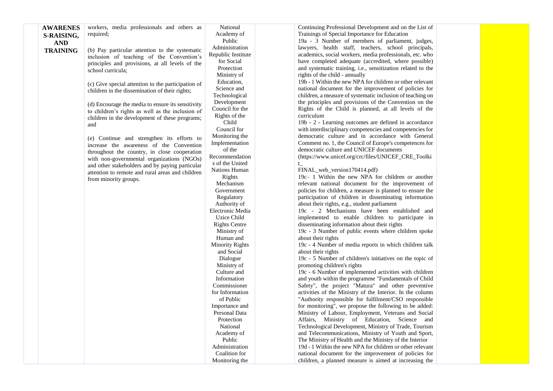| <b>AWARENES</b> | workers, media professionals and others as         | National               | Continuing Professional Development and on the List of              |  |
|-----------------|----------------------------------------------------|------------------------|---------------------------------------------------------------------|--|
| S-RAISING,      | required;                                          | Academy of             | Trainings of Special Importance for Education                       |  |
|                 |                                                    | Public                 | 19a - 3 Number of members of parliament, judges,                    |  |
| <b>AND</b>      |                                                    | Administration         | lawyers, health staff, teachers, school principals,                 |  |
| <b>TRAINING</b> | (b) Pay particular attention to the systematic     | Republic Institute     | academics, social workers, media professionals, etc. who            |  |
|                 | inclusion of teaching of the Convention's          | for Social             | have completed adequate (accredited, where possible)                |  |
|                 | principles and provisions, at all levels of the    | Protection             |                                                                     |  |
|                 | school curricula;                                  |                        | and systematic training, <i>i.e.</i> , sensitization related to the |  |
|                 |                                                    | Ministry of            | rights of the child - annually                                      |  |
|                 | (c) Give special attention to the participation of | Education,             | 19b - 1 Within the new NPA for children or other relevant           |  |
|                 | children in the dissemination of their rights;     | Science and            | national document for the improvement of policies for               |  |
|                 |                                                    | Technological          | children, a measure of systematic inclusion of teaching on          |  |
|                 | (d) Encourage the media to ensure its sensitivity  | Development            | the principles and provisions of the Convention on the              |  |
|                 | to children's rights as well as the inclusion of   | Council for the        | Rights of the Child is planned, at all levels of the                |  |
|                 | children in the development of these programs;     | Rights of the          | curriculum                                                          |  |
|                 | and                                                | Child                  | 19b - 2 - Learning outcomes are defined in accordance               |  |
|                 |                                                    | Council for            | with interdisciplinary competencies and competencies for            |  |
|                 | (e) Continue and strengthen its efforts to         | Monitoring the         | democratic culture and in accordance with General                   |  |
|                 | increase the awareness of the Convention           | Implementation         | Comment no. 1, the Council of Europe's competences for              |  |
|                 | throughout the country, in close cooperation       | of the                 | democratic culture and UNICEF documents                             |  |
|                 | with non-governmental organizations (NGOs)         | Recommendation         | (https://www.unicef.org/crc/files/UNICEF_CRE_Toolki                 |  |
|                 | and other stakeholders and by paying particular    | s of the United        | $t_{-}$                                                             |  |
|                 | attention to remote and rural areas and children   | Nations Human          | FINAL_web_version170414.pdf)                                        |  |
|                 | from minority groups.                              | Rights                 | $19c-1$ Within the new NPA for children or another                  |  |
|                 |                                                    | Mechanism              | relevant national document for the improvement of                   |  |
|                 |                                                    | Government             | policies for children, a measure is planned to ensure the           |  |
|                 |                                                    | Regulatory             | participation of children in disseminating information              |  |
|                 |                                                    | Authority of           | about their rights, e.g., student parliament                        |  |
|                 |                                                    | Electronic Media       | 19c - 2 Mechanisms have been established and                        |  |
|                 |                                                    | Uzice Child            | implemented to enable children to participate in                    |  |
|                 |                                                    | <b>Rights Centre</b>   | disseminating information about their rights                        |  |
|                 |                                                    | Ministry of            | 19c - 3 Number of public events where children spoke                |  |
|                 |                                                    | Human and              | about their rights                                                  |  |
|                 |                                                    | <b>Minority Rights</b> | 19c - 4 Number of media reports in which children talk              |  |
|                 |                                                    | and Social             | about their rights                                                  |  |
|                 |                                                    | Dialogue               | 19c - 5 Number of children's initiatives on the topic of            |  |
|                 |                                                    | Ministry of            | promoting children's rights                                         |  |
|                 |                                                    | Culture and            | 19c - 6 Number of implemented activities with children              |  |
|                 |                                                    | Information            | and youth within the programme "Fundamentals of Child               |  |
|                 |                                                    | Commissioner           | Safety", the project "Matura" and other preventive                  |  |
|                 |                                                    | for Information        | activities of the Ministry of the Interior. In the column           |  |
|                 |                                                    | of Public              | "Authority responsible for fulfilment/CSO responsible               |  |
|                 |                                                    | Importance and         | for monitoring", we propose the following to be added:              |  |
|                 |                                                    | Personal Data          | Ministry of Labour, Employment, Veterans and Social                 |  |
|                 |                                                    | Protection             | Affairs, Ministry of Education, Science and                         |  |
|                 |                                                    | National               | Technological Development, Ministry of Trade, Tourism               |  |
|                 |                                                    |                        |                                                                     |  |
|                 |                                                    | Academy of             | and Telecommunications, Ministry of Youth and Sport,                |  |
|                 |                                                    | Public                 | The Ministry of Health and the Ministry of the Interior             |  |
|                 |                                                    | Administration         | 19d - 1 Within the new NPA for children or other relevant           |  |
|                 |                                                    | Coalition for          | national document for the improvement of policies for               |  |
|                 |                                                    | Monitoring the         | children, a planned measure is aimed at increasing the              |  |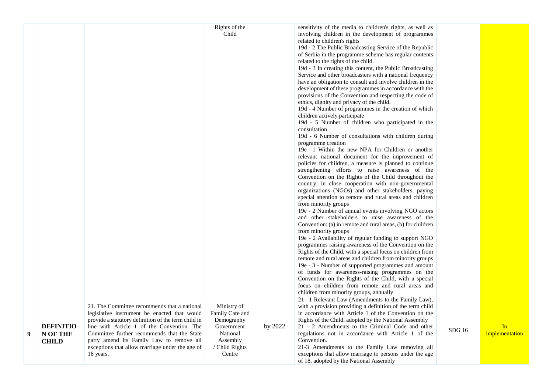|   |                                              |                                                                                                                                                                                                                                                                                                                                                              | Rights of the<br>Child                                                                                         |         | sensitivity of the media to children's rights, as well as<br>involving children in the development of programmes<br>related to children's rights<br>19d - 2 The Public Broadcasting Service of the Republic<br>of Serbia in the programme scheme has regular contents<br>related to the rights of the child.<br>19d - 3 In creating this content, the Public Broadcasting<br>Service and other broadcasters with a national frequency<br>have an obligation to consult and involve children in the<br>development of these programmes in accordance with the<br>provisions of the Convention and respecting the code of<br>ethics, dignity and privacy of the child.<br>19d - 4 Number of programmes in the creation of which<br>children actively participate<br>19d - 5 Number of children who participated in the<br>consultation<br>19d - 6 Number of consultations with children during<br>programme creation<br>19e – 1 Within the new NPA for Children or another<br>relevant national document for the improvement of<br>policies for children, a measure is planned to continue<br>strengthening efforts to raise awareness of the<br>Convention on the Rights of the Child throughout the<br>country, in close cooperation with non-governmental<br>organizations (NGOs) and other stakeholders, paying<br>special attention to remote and rural areas and children<br>from minority groups<br>19e - 2 Number of annual events involving NGO actors<br>and other stakeholders to raise awareness of the<br>Convention: (a) in remote and rural areas, (b) for children<br>from minority groups<br>19e - 2 Availability of regular funding to support NGO<br>programmes raising awareness of the Convention on the<br>Rights of the Child, with a special focus on children from<br>remote and rural areas and children from minority groups<br>19e - 3 - Number of supported programmes and amount<br>of funds for awareness-raising programmes on the<br>Convention on the Rights of the Child, with a special<br>focus on children from remote and rural areas and<br>children from minority groups, annually |       |                      |
|---|----------------------------------------------|--------------------------------------------------------------------------------------------------------------------------------------------------------------------------------------------------------------------------------------------------------------------------------------------------------------------------------------------------------------|----------------------------------------------------------------------------------------------------------------|---------|---------------------------------------------------------------------------------------------------------------------------------------------------------------------------------------------------------------------------------------------------------------------------------------------------------------------------------------------------------------------------------------------------------------------------------------------------------------------------------------------------------------------------------------------------------------------------------------------------------------------------------------------------------------------------------------------------------------------------------------------------------------------------------------------------------------------------------------------------------------------------------------------------------------------------------------------------------------------------------------------------------------------------------------------------------------------------------------------------------------------------------------------------------------------------------------------------------------------------------------------------------------------------------------------------------------------------------------------------------------------------------------------------------------------------------------------------------------------------------------------------------------------------------------------------------------------------------------------------------------------------------------------------------------------------------------------------------------------------------------------------------------------------------------------------------------------------------------------------------------------------------------------------------------------------------------------------------------------------------------------------------------------------------------------------------------------------------------------------------------------------|-------|----------------------|
| 9 | <b>DEFINITIO</b><br>N OF THE<br><b>CHILD</b> | 21. The Committee recommends that a national<br>legislative instrument be enacted that would<br>provide a statutory definition of the term child in<br>line with Article 1 of the Convention. The<br>Committee further recommends that the State<br>party amend its Family Law to remove all<br>exceptions that allow marriage under the age of<br>18 years. | Ministry of<br>Family Care and<br>Demography<br>Government<br>National<br>Assembly<br>/ Child Rights<br>Centre | by 2022 | 21–1 Relevant Law (Amendments to the Family Law),<br>with a provision providing a definition of the term child<br>in accordance with Article 1 of the Convention on the<br>Rights of the Child, adopted by the National Assembly<br>21 - 2 Amendments to the Criminal Code and other<br>regulations not in accordance with Article 1 of the<br>Convention.<br>21-3 Amendments to the Family Law removing all<br>exceptions that allow marriage to persons under the age<br>of 18, adopted by the National Assembly                                                                                                                                                                                                                                                                                                                                                                                                                                                                                                                                                                                                                                                                                                                                                                                                                                                                                                                                                                                                                                                                                                                                                                                                                                                                                                                                                                                                                                                                                                                                                                                                        | SDG16 | In<br>implementation |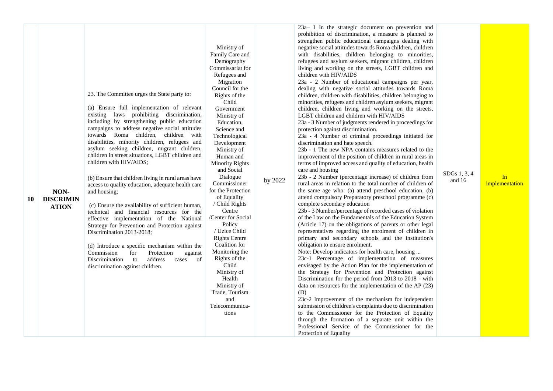| NON-<br><b>DISCRIMIN</b><br>10<br><b>ATION</b> | 23. The Committee urges the State party to:<br>(a) Ensure full implementation of relevant<br>existing laws prohibiting discrimination,<br>including by strengthening public education<br>campaigns to address negative social attitudes<br>towards Roma children, children with<br>disabilities, minority children, refugees and<br>asylum seeking children, migrant children,<br>children in street situations, LGBT children and<br>children with HIV/AIDS;<br>(b) Ensure that children living in rural areas have<br>access to quality education, adequate health care<br>and housing;<br>(c) Ensure the availability of sufficient human,<br>technical and financial resources for the<br>effective implementation of the National<br>Strategy for Prevention and Protection against<br>Discrimination 2013-2018;<br>(d) Introduce a specific mechanism within the<br>Commission<br>Protection<br>for<br>against<br>Discrimination<br>to<br>address<br>cases of<br>discrimination against children. | Ministry of<br>Family Care and<br>Demography<br>Commissariat for<br>Refugees and<br>Migration<br>Council for the<br>Rights of the<br>Child<br>Government<br>Ministry of<br>Education,<br>Science and<br>Technological<br>Development<br>Ministry of<br>Human and<br><b>Minority Rights</b><br>and Social<br>Dialogue<br>Commissioner<br>for the Protection<br>of Equality<br>/ Child Rights<br>Centre<br>/Center for Social<br>Policy<br>/ Uzice Child<br><b>Rights Centre</b><br>Coalition for<br>Monitoring the<br>Rights of the<br>Child<br>Ministry of<br>Health<br>Ministry of<br>Trade, Tourism<br>and<br>Telecommunica-<br>tions | by 2022 | 23a-1 In the strategic document on prevention and<br>prohibition of discrimination, a measure is planned to<br>strengthen public educational campaigns dealing with<br>negative social attitudes towards Roma children, children<br>with disabilities, children belonging to minorities,<br>refugees and asylum seekers, migrant children, children<br>living and working on the streets, LGBT children and<br>children with HIV/AIDS<br>23a - 2 Number of educational campaigns per year,<br>dealing with negative social attitudes towards Roma<br>children, children with disabilities, children belonging to<br>minorities, refugees and children asylum seekers, migrant<br>children, children living and working on the streets,<br>LGBT children and children with HIV/AIDS<br>23a - 3 Number of judgments rendered in proceedings for<br>protection against discrimination.<br>23a - 4 Number of criminal proceedings initiated for<br>discrimination and hate speech.<br>23b - 1 The new NPA contains measures related to the<br>improvement of the position of children in rural areas in<br>terms of improved access and quality of education, health<br>care and housing<br>23b - 2 Number (percentage increase) of children from<br>rural areas in relation to the total number of children of<br>the same age who: (a) attend preschool education, (b)<br>attend compulsory Preparatory preschool programme (c)<br>complete secondary education<br>23b - 3 Number/percentage of recorded cases of violation<br>of the Law on the Fundamentals of the Education System<br>(Article 17) on the obligations of parents or other legal<br>representatives regarding the enrolment of children in<br>primary and secondary schools and the institution's<br>obligation to ensure enrolment.<br>Note: Develop indicators for health care, housing<br>23c-1 Percentage of implementation of measures<br>envisaged by the Action Plan for the implementation of<br>the Strategy for Prevention and Protection against<br>Discrimination for the period from 2013 to 2018 - with<br>data on resources for the implementation of the AP (23)<br>(D)<br>23c-2 Improvement of the mechanism for independent<br>submission of children's complaints due to discrimination<br>to the Commissioner for the Protection of Equality<br>through the formation of a separate unit within the<br>Professional Service of the Commissioner for the<br>Protection of Equality | SDGs 1, 3, 4<br>and $16$ | In<br>implementation |
|------------------------------------------------|---------------------------------------------------------------------------------------------------------------------------------------------------------------------------------------------------------------------------------------------------------------------------------------------------------------------------------------------------------------------------------------------------------------------------------------------------------------------------------------------------------------------------------------------------------------------------------------------------------------------------------------------------------------------------------------------------------------------------------------------------------------------------------------------------------------------------------------------------------------------------------------------------------------------------------------------------------------------------------------------------------|-----------------------------------------------------------------------------------------------------------------------------------------------------------------------------------------------------------------------------------------------------------------------------------------------------------------------------------------------------------------------------------------------------------------------------------------------------------------------------------------------------------------------------------------------------------------------------------------------------------------------------------------|---------|-----------------------------------------------------------------------------------------------------------------------------------------------------------------------------------------------------------------------------------------------------------------------------------------------------------------------------------------------------------------------------------------------------------------------------------------------------------------------------------------------------------------------------------------------------------------------------------------------------------------------------------------------------------------------------------------------------------------------------------------------------------------------------------------------------------------------------------------------------------------------------------------------------------------------------------------------------------------------------------------------------------------------------------------------------------------------------------------------------------------------------------------------------------------------------------------------------------------------------------------------------------------------------------------------------------------------------------------------------------------------------------------------------------------------------------------------------------------------------------------------------------------------------------------------------------------------------------------------------------------------------------------------------------------------------------------------------------------------------------------------------------------------------------------------------------------------------------------------------------------------------------------------------------------------------------------------------------------------------------------------------------------------------------------------------------------------------------------------------------------------------------------------------------------------------------------------------------------------------------------------------------------------------------------------------------------------------------------------------------------------------------------------------------------------------------------------------------------------|--------------------------|----------------------|
|------------------------------------------------|---------------------------------------------------------------------------------------------------------------------------------------------------------------------------------------------------------------------------------------------------------------------------------------------------------------------------------------------------------------------------------------------------------------------------------------------------------------------------------------------------------------------------------------------------------------------------------------------------------------------------------------------------------------------------------------------------------------------------------------------------------------------------------------------------------------------------------------------------------------------------------------------------------------------------------------------------------------------------------------------------------|-----------------------------------------------------------------------------------------------------------------------------------------------------------------------------------------------------------------------------------------------------------------------------------------------------------------------------------------------------------------------------------------------------------------------------------------------------------------------------------------------------------------------------------------------------------------------------------------------------------------------------------------|---------|-----------------------------------------------------------------------------------------------------------------------------------------------------------------------------------------------------------------------------------------------------------------------------------------------------------------------------------------------------------------------------------------------------------------------------------------------------------------------------------------------------------------------------------------------------------------------------------------------------------------------------------------------------------------------------------------------------------------------------------------------------------------------------------------------------------------------------------------------------------------------------------------------------------------------------------------------------------------------------------------------------------------------------------------------------------------------------------------------------------------------------------------------------------------------------------------------------------------------------------------------------------------------------------------------------------------------------------------------------------------------------------------------------------------------------------------------------------------------------------------------------------------------------------------------------------------------------------------------------------------------------------------------------------------------------------------------------------------------------------------------------------------------------------------------------------------------------------------------------------------------------------------------------------------------------------------------------------------------------------------------------------------------------------------------------------------------------------------------------------------------------------------------------------------------------------------------------------------------------------------------------------------------------------------------------------------------------------------------------------------------------------------------------------------------------------------------------------------------|--------------------------|----------------------|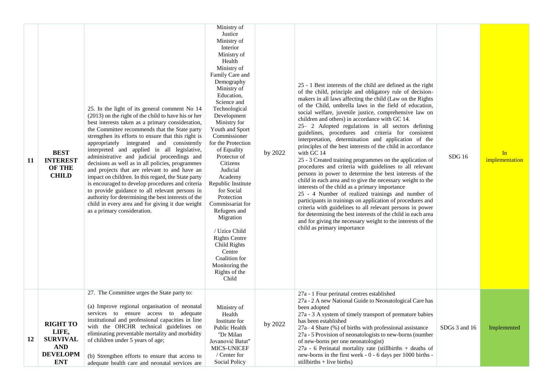| 11 | <b>BEST</b><br><b>INTEREST</b><br><b>OF THE</b><br><b>CHILD</b>                            | 25. In the light of its general comment No 14<br>(2013) on the right of the child to have his or her<br>best interests taken as a primary consideration,<br>the Committee recommends that the State party<br>strengthen its efforts to ensure that this right is<br>appropriately integrated and consistently<br>interpreted and applied in all legislative,<br>administrative and judicial proceedings and<br>decisions as well as in all policies, programmes<br>and projects that are relevant to and have an<br>impact on children. In this regard, the State party<br>is encouraged to develop procedures and criteria<br>to provide guidance to all relevant persons in<br>authority for determining the best interests of the<br>child in every area and for giving it due weight<br>as a primary consideration. | Ministry of<br>Justice<br>Ministry of<br>Interior<br>Ministry of<br>Health<br>Ministry of<br>Family Care and<br>Demography<br>Ministry of<br>Education,<br>Science and<br>Technological<br>Development<br>Ministry for<br>Youth and Sport<br>Commissioner<br>for the Protection<br>of Equality<br>Protector of<br>Citizens<br>Judicial<br>Academy<br>Republic Institute<br>for Social<br>Protection<br>Commissariat for<br>Refugees and<br>Migration<br>/ Uzice Child<br><b>Rights Centre</b><br>Child Rights<br>Centre<br>Coalition for<br>Monitoring the<br>Rights of the<br>Child | by 2022 | 25 - 1 Best interests of the child are defined as the right<br>of the child, principle and obligatory rule of decision-<br>makers in all laws affecting the child (Law on the Rights<br>of the Child, umbrella laws in the field of education,<br>social welfare, juvenile justice, comprehensive law on<br>children and others) in accordance with GC 14.<br>25- 2 Adopted regulations in all sectors defining<br>guidelines, procedures and criteria for consistent<br>interpretation, determination and application of the<br>principles of the best interests of the child in accordance<br>with GC 14<br>25 - 3 Created training programmes on the application of<br>procedures and criteria with guidelines to all relevant<br>persons in power to determine the best interests of the<br>child in each area and to give the necessary weight to the<br>interests of the child as a primary importance<br>25 - 4 Number of realized trainings and number of<br>participants in trainings on application of procedures and<br>criteria with guidelines to all relevant persons in power<br>for determining the best interests of the child in each area<br>and for giving the necessary weight to the interests of the<br>child as primary importance | SDG16         | In<br>implementation |
|----|--------------------------------------------------------------------------------------------|-------------------------------------------------------------------------------------------------------------------------------------------------------------------------------------------------------------------------------------------------------------------------------------------------------------------------------------------------------------------------------------------------------------------------------------------------------------------------------------------------------------------------------------------------------------------------------------------------------------------------------------------------------------------------------------------------------------------------------------------------------------------------------------------------------------------------|--------------------------------------------------------------------------------------------------------------------------------------------------------------------------------------------------------------------------------------------------------------------------------------------------------------------------------------------------------------------------------------------------------------------------------------------------------------------------------------------------------------------------------------------------------------------------------------|---------|------------------------------------------------------------------------------------------------------------------------------------------------------------------------------------------------------------------------------------------------------------------------------------------------------------------------------------------------------------------------------------------------------------------------------------------------------------------------------------------------------------------------------------------------------------------------------------------------------------------------------------------------------------------------------------------------------------------------------------------------------------------------------------------------------------------------------------------------------------------------------------------------------------------------------------------------------------------------------------------------------------------------------------------------------------------------------------------------------------------------------------------------------------------------------------------------------------------------------------------------------------|---------------|----------------------|
| 12 | <b>RIGHT TO</b><br>LIFE,<br><b>SURVIVAL</b><br><b>AND</b><br><b>DEVELOPM</b><br><b>ENT</b> | 27. The Committee urges the State party to:<br>(a) Improve regional organisation of neonatal<br>services to ensure access to adequate<br>institutional and professional capacities in line<br>with the OHCHR technical guidelines on<br>eliminating preventable mortality and morbidity<br>of children under 5 years of age;<br>(b) Strengthen efforts to ensure that access to<br>adequate health care and neonatal services are                                                                                                                                                                                                                                                                                                                                                                                       | Ministry of<br>Health<br>Institute for<br>Public Health<br>"Dr Milan<br>Jovanović Batut"<br>MICS-UNICEF<br>/ Center for<br><b>Social Policy</b>                                                                                                                                                                                                                                                                                                                                                                                                                                      | by 2022 | 27a - 1 Four perinatal centres established<br>27a - 2 A new National Guide to Neonatological Care has<br>been adopted<br>27a - 3 A system of timely transport of premature babies<br>has been established<br>$27a-4$ Share $(\%)$ of births with professional assistance<br>27a - 5 Provision of neonatologists to new-borns (number<br>of new-borns per one neonatologist)<br>$27a - 6$ Perinatal mortality rate (stillbirths + deaths of<br>new-borns in the first week - 0 - 6 days per 1000 births -<br>stillbirths $+$ live births)                                                                                                                                                                                                                                                                                                                                                                                                                                                                                                                                                                                                                                                                                                                   | SDGs 3 and 16 | Implemented          |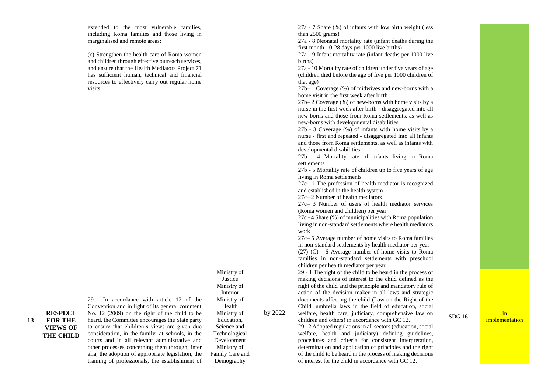|    |                                                                         | extended to the most vulnerable families,<br>including Roma families and those living in<br>marginalised and remote areas;<br>(c) Strengthen the health care of Roma women<br>and children through effective outreach services,<br>and ensure that the Health Mediators Project 71<br>has sufficient human, technical and financial<br>resources to effectively carry out regular home<br>visits.                                                                                                                 |                                                                                                                                                                                                        |             | 27a - 7 Share (%) of infants with low birth weight (less<br>than $2500$ grams)<br>27a - 8 Neonatal mortality rate (infant deaths during the<br>first month - 0-28 days per 1000 live births)<br>27a - 9 Infant mortality rate (infant deaths per 1000 live<br>births)<br>27a - 10 Mortality rate of children under five years of age<br>(children died before the age of five per 1000 children of<br>that age)<br>27b–1 Coverage (%) of midwives and new-borns with a<br>home visit in the first week after birth<br>27b–2 Coverage (%) of new-borns with home visits by a<br>nurse in the first week after birth - disaggregated into all<br>new-borns and those from Roma settlements, as well as<br>new-borns with developmental disabilities<br>27b - 3 Coverage (%) of infants with home visits by a<br>nurse - first and repeated - disaggregated into all infants<br>and those from Roma settlements, as well as infants with<br>developmental disabilities<br>27b - 4 Mortality rate of infants living in Roma<br>settlements<br>27b - 5 Mortality rate of children up to five years of age<br>living in Roma settlements<br>27c-1 The profession of health mediator is recognized<br>and established in the health system<br>27c-2 Number of health mediators<br>27c- 3 Number of users of health mediator services<br>(Roma women and children) per year<br>27c - 4 Share (%) of municipalities with Roma population<br>living in non-standard settlements where health mediators<br>work<br>27c– 5 Average number of home visits to Roma families<br>in non-standard settlements by health mediator per year<br>(27) (C) - 6 Average number of home visits to Roma<br>families in non-standard settlements with preschool<br>children per health mediator per year |        |                      |
|----|-------------------------------------------------------------------------|-------------------------------------------------------------------------------------------------------------------------------------------------------------------------------------------------------------------------------------------------------------------------------------------------------------------------------------------------------------------------------------------------------------------------------------------------------------------------------------------------------------------|--------------------------------------------------------------------------------------------------------------------------------------------------------------------------------------------------------|-------------|--------------------------------------------------------------------------------------------------------------------------------------------------------------------------------------------------------------------------------------------------------------------------------------------------------------------------------------------------------------------------------------------------------------------------------------------------------------------------------------------------------------------------------------------------------------------------------------------------------------------------------------------------------------------------------------------------------------------------------------------------------------------------------------------------------------------------------------------------------------------------------------------------------------------------------------------------------------------------------------------------------------------------------------------------------------------------------------------------------------------------------------------------------------------------------------------------------------------------------------------------------------------------------------------------------------------------------------------------------------------------------------------------------------------------------------------------------------------------------------------------------------------------------------------------------------------------------------------------------------------------------------------------------------------------------------------------------------------------------------------------------------------------------|--------|----------------------|
| 13 | <b>RESPECT</b><br><b>FOR THE</b><br><b>VIEWS OF</b><br><b>THE CHILD</b> | 29. In accordance with article 12 of the<br>Convention and in light of its general comment<br>No. $12$ (2009) on the right of the child to be<br>heard, the Committee encourages the State party<br>to ensure that children's views are given due<br>consideration, in the family, at schools, in the<br>courts and in all relevant administrative and<br>other processes concerning them through, inter<br>alia, the adoption of appropriate legislation, the<br>training of professionals, the establishment of | Ministry of<br>Justice<br>Ministry of<br>Interior<br>Ministry of<br>Health<br>Ministry of<br>Education,<br>Science and<br>Technological<br>Development<br>Ministry of<br>Family Care and<br>Demography | by $2022\,$ | 29 - 1 The right of the child to be heard in the process of<br>making decisions of interest to the child defined as the<br>right of the child and the principle and mandatory rule of<br>action of the decision maker in all laws and strategic<br>documents affecting the child (Law on the Right of the<br>Child, umbrella laws in the field of education, social<br>welfare, health care, judiciary, comprehensive law on<br>children and others) in accordance with GC 12.<br>29-2 Adopted regulations in all sectors (education, social<br>welfare, health and judiciary) defining guidelines,<br>procedures and criteria for consistent interpretation,<br>determination and application of principles and the right<br>of the child to be heard in the process of making decisions<br>of interest for the child in accordance with GC 12.                                                                                                                                                                                                                                                                                                                                                                                                                                                                                                                                                                                                                                                                                                                                                                                                                                                                                                                               | SDG 16 | In<br>implementation |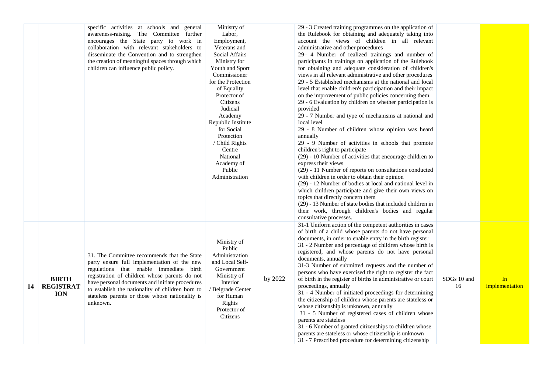|    |                                                | specific activities at schools and general<br>awareness-raising. The Committee further<br>encourages the State party to work in<br>collaboration with relevant stakeholders to<br>disseminate the Convention and to strengthen<br>the creation of meaningful spaces through which<br>children can influence public policy.                                   | Ministry of<br>Labor,<br>Employment,<br>Veterans and<br>Social Affairs<br>Ministry for<br>Youth and Sport<br>Commissioner<br>for the Protection<br>of Equality<br>Protector of<br>Citizens<br>Judicial<br>Academy<br>Republic Institute<br>for Social<br>Protection<br>/ Child Rights<br>Centre<br>National<br>Academy of<br>Public<br>Administration |         | 29 - 3 Created training programmes on the application of<br>the Rulebook for obtaining and adequately taking into<br>account the views of children in all relevant<br>administrative and other procedures<br>29- 4 Number of realized trainings and number of<br>participants in trainings on application of the Rulebook<br>for obtaining and adequate consideration of children's<br>views in all relevant administrative and other procedures<br>29 - 5 Established mechanisms at the national and local<br>level that enable children's participation and their impact<br>on the improvement of public policies concerning them<br>29 - 6 Evaluation by children on whether participation is<br>provided<br>29 - 7 Number and type of mechanisms at national and<br>local level<br>29 - 8 Number of children whose opinion was heard<br>annually<br>29 - 9 Number of activities in schools that promote<br>children's right to participate<br>(29) - 10 Number of activities that encourage children to<br>express their views<br>(29) - 11 Number of reports on consultations conducted<br>with children in order to obtain their opinion<br>(29) - 12 Number of bodies at local and national level in          |                   |                      |
|----|------------------------------------------------|--------------------------------------------------------------------------------------------------------------------------------------------------------------------------------------------------------------------------------------------------------------------------------------------------------------------------------------------------------------|-------------------------------------------------------------------------------------------------------------------------------------------------------------------------------------------------------------------------------------------------------------------------------------------------------------------------------------------------------|---------|----------------------------------------------------------------------------------------------------------------------------------------------------------------------------------------------------------------------------------------------------------------------------------------------------------------------------------------------------------------------------------------------------------------------------------------------------------------------------------------------------------------------------------------------------------------------------------------------------------------------------------------------------------------------------------------------------------------------------------------------------------------------------------------------------------------------------------------------------------------------------------------------------------------------------------------------------------------------------------------------------------------------------------------------------------------------------------------------------------------------------------------------------------------------------------------------------------------------|-------------------|----------------------|
| 14 | <b>BIRTH</b><br><b>REGISTRAT</b><br><b>ION</b> | 31. The Committee recommends that the State<br>party ensure full implementation of the new<br>regulations that enable immediate birth<br>registration of children whose parents do not<br>have personal documents and initiate procedures<br>to establish the nationality of children born to<br>stateless parents or those whose nationality is<br>unknown. | Ministry of<br>Public<br>Administration<br>and Local Self-<br>Government<br>Ministry of<br>Interior<br>/ Belgrade Center<br>for Human<br>Rights<br>Protector of<br>Citizens                                                                                                                                                                           | by 2022 | which children participate and give their own views on<br>topics that directly concern them<br>(29) - 13 Number of state bodies that included children in<br>their work, through children's bodies and regular<br>consultative processes.<br>31-1 Uniform action of the competent authorities in cases<br>of birth of a child whose parents do not have personal<br>documents, in order to enable entry in the birth register<br>31 - 2 Number and percentage of children whose birth is<br>registered, and whose parents do not have personal<br>documents, annually<br>31-3 Number of submitted requests and the number of<br>persons who have exercised the right to register the fact<br>of birth in the register of births in administrative or court<br>proceedings, annually<br>31 - 4 Number of initiated proceedings for determining<br>the citizenship of children whose parents are stateless or<br>whose citizenship is unknown, annually<br>31 - 5 Number of registered cases of children whose<br>parents are stateless<br>31 - 6 Number of granted citizenships to children whose<br>parents are stateless or whose citizenship is unknown<br>31 - 7 Prescribed procedure for determining citizenship | SDGs 10 and<br>16 | In<br>implementation |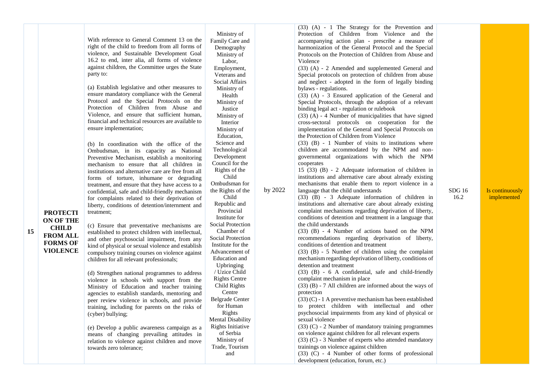|                  |                                                                                           | Ministry of              |         | (33) (A) - 1 The Strategy for the Prevention and<br>Protection of Children from Violence and the |       |                 |
|------------------|-------------------------------------------------------------------------------------------|--------------------------|---------|--------------------------------------------------------------------------------------------------|-------|-----------------|
|                  | With reference to General Comment 13 on the                                               | Family Care and          |         | accompanying action plan - prescribe a measure of                                                |       |                 |
|                  | right of the child to freedom from all forms of                                           | Demography               |         | harmonization of the General Protocol and the Special                                            |       |                 |
|                  | violence, and Sustainable Development Goal                                                | Ministry of              |         | Protocols on the Protection of Children from Abuse and                                           |       |                 |
|                  | 16.2 to end, inter alia, all forms of violence                                            | Labor,                   |         | Violence                                                                                         |       |                 |
|                  | against children, the Committee urges the State                                           | Employment,              |         | (33) (A) - 2 Amended and supplemented General and                                                |       |                 |
|                  | party to:                                                                                 | Veterans and             |         | Special protocols on protection of children from abuse                                           |       |                 |
|                  |                                                                                           | Social Affairs           |         | and neglect - adopted in the form of legally binding                                             |       |                 |
|                  | (a) Establish legislative and other measures to                                           | Ministry of              |         | bylaws - regulations.                                                                            |       |                 |
|                  | ensure mandatory compliance with the General                                              | Health                   |         | (33) (A) - 3 Ensured application of the General and                                              |       |                 |
|                  | Protocol and the Special Protocols on the                                                 | Ministry of              |         | Special Protocols, through the adoption of a relevant                                            |       |                 |
|                  | Protection of Children from Abuse and                                                     | Justice                  |         | binding legal act - regulation or rulebook                                                       |       |                 |
|                  | Violence, and ensure that sufficient human,                                               | Ministry of              |         | $(33)$ (A) - 4 Number of municipalities that have signed                                         |       |                 |
|                  | financial and technical resources are available to                                        | Interior                 |         | cross-sectoral protocols on cooperation for the                                                  |       |                 |
|                  | ensure implementation;                                                                    | Ministry of              |         | implementation of the General and Special Protocols on                                           |       |                 |
|                  |                                                                                           | Education,               |         | the Protection of Children from Violence                                                         |       |                 |
|                  | (b) In coordination with the office of the                                                | Science and              |         | $(33)$ (B) - 1 Number of visits to institutions where                                            |       |                 |
|                  | Ombudsman, in its capacity as National                                                    | Technological            |         | children are accommodated by the NPM and non-                                                    |       |                 |
|                  | Preventive Mechanism, establish a monitoring                                              | Development              |         | governmental organizations with which the NPM                                                    |       |                 |
|                  | mechanism to ensure that all children in                                                  | Council for the          |         | cooperates                                                                                       |       |                 |
|                  | institutions and alternative care are free from all                                       | Rights of the            |         | 15 (33) (B) - 2 Adequate information of children in                                              |       |                 |
|                  | forms of torture, inhumane or degrading                                                   | Child                    |         | institutions and alternative care about already existing                                         |       |                 |
|                  | treatment, and ensure that they have access to a                                          | Ombudsman for            |         | mechanisms that enable them to report violence in a                                              |       |                 |
|                  | confidential, safe and child-friendly mechanism                                           | the Rights of the        | by 2022 | language that the child understands                                                              | SDG16 | Is continuously |
|                  | for complaints related to their deprivation of                                            | Child                    |         | (33) (B) - 3 Adequate information of children in                                                 | 16.2  | implemented     |
|                  | liberty, conditions of detention/internment and                                           | Republic and             |         | institutions and alternative care about already existing                                         |       |                 |
| <b>PROTECTI</b>  | treatment;                                                                                | Provincial               |         | complaint mechanisms regarding deprivation of liberty,                                           |       |                 |
| <b>ON OF THE</b> |                                                                                           | Institute for            |         | conditions of detention and treatment in a language that                                         |       |                 |
| <b>CHILD</b>     | (c) Ensure that preventative mechanisms are                                               | Social Protection        |         | the child understands                                                                            |       |                 |
| <b>FROM ALL</b>  | established to protect children with intellectual,                                        | Chamber of               |         | $(33)$ (B) - 4 Number of actions based on the NPM                                                |       |                 |
| <b>FORMS OF</b>  | and other psychosocial impairment, from any                                               | Social Protection        |         | recommendations regarding deprivation of liberty,                                                |       |                 |
| <b>VIOLENCE</b>  | kind of physical or sexual violence and establish                                         | Institute for the        |         | conditions of detention and treatment                                                            |       |                 |
|                  | compulsory training courses on violence against                                           | Advancement of           |         | $(33)$ (B) - 5 Number of children using the complaint                                            |       |                 |
|                  | children for all relevant professionals;                                                  | Education and            |         | mechanism regarding deprivation of liberty, conditions of                                        |       |                 |
|                  |                                                                                           | Upbringing               |         | detention and treatment                                                                          |       |                 |
|                  | (d) Strengthen national programmes to address                                             | / Uzice Child            |         | $(33)$ $(B)$ - 6 A confidential, safe and child-friendly                                         |       |                 |
|                  | violence in schools with support from the                                                 | <b>Rights Centre</b>     |         | complaint mechanism in place<br>$(33)$ (B) - 7 All children are informed about the ways of       |       |                 |
|                  | Ministry of Education and teacher training                                                | Child Rights<br>Centre   |         | protection                                                                                       |       |                 |
|                  | agencies to establish standards, mentoring and                                            | <b>Belgrade Center</b>   |         | $(33)(C)$ - 1 A preventive mechanism has been established                                        |       |                 |
|                  | peer review violence in schools, and provide                                              | for Human                |         | to protect children with intellectual and other                                                  |       |                 |
|                  | training, including for parents on the risks of                                           | Rights                   |         | psychosocial impairments from any kind of physical or                                            |       |                 |
|                  | (cyber) bullying;                                                                         | <b>Mental Disability</b> |         | sexual violence                                                                                  |       |                 |
|                  |                                                                                           | <b>Rights Initiative</b> |         | $(33)$ (C) - 2 Number of mandatory training programmes                                           |       |                 |
|                  | (e) Develop a public awareness campaign as a<br>means of changing prevailing attitudes in | of Serbia                |         | on violence against children for all relevant experts                                            |       |                 |
|                  | relation to violence against children and move                                            | Ministry of              |         | (33) (C) - 3 Number of experts who attended mandatory                                            |       |                 |
|                  | towards zero tolerance;                                                                   | Trade, Tourism           |         | trainings on violence against children                                                           |       |                 |
|                  |                                                                                           | and                      |         | $(33)$ (C) - 4 Number of other forms of professional                                             |       |                 |
|                  |                                                                                           |                          |         | development (education, forum, etc.)                                                             |       |                 |

**15**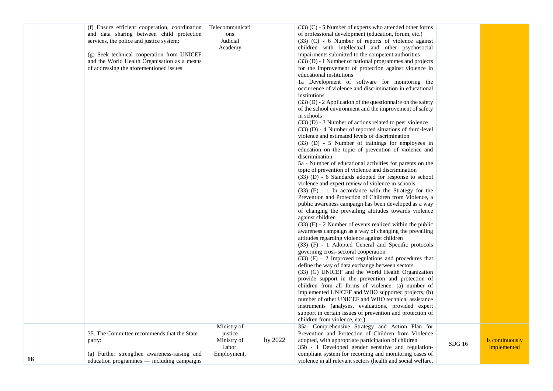|    | (f) Ensure efficient cooperation, coordination<br>and data sharing between child protection | Telecommunicati     |         | $(33)$ (C) - 5 Number of experts who attended other forms<br>of professional development (education, forum, etc.)        |        |                 |
|----|---------------------------------------------------------------------------------------------|---------------------|---------|--------------------------------------------------------------------------------------------------------------------------|--------|-----------------|
|    |                                                                                             | ons                 |         |                                                                                                                          |        |                 |
|    | services, the police and justice system;                                                    | Judicial<br>Academy |         | (33) (C) - 6 Number of reports of violence against<br>children with intellectual and other psychosocial                  |        |                 |
|    | (g) Seek technical cooperation from UNICEF                                                  |                     |         | impairments submitted to the competent authorities                                                                       |        |                 |
|    | and the World Health Organisation as a means                                                |                     |         | (33) (D) - 1 Number of national programmes and projects                                                                  |        |                 |
|    | of addressing the aforementioned issues.                                                    |                     |         | for the improvement of protection against violence in                                                                    |        |                 |
|    |                                                                                             |                     |         | educational institutions                                                                                                 |        |                 |
|    |                                                                                             |                     |         | 1a Development of software for monitoring the                                                                            |        |                 |
|    |                                                                                             |                     |         | occurrence of violence and discrimination in educational                                                                 |        |                 |
|    |                                                                                             |                     |         | institutions                                                                                                             |        |                 |
|    |                                                                                             |                     |         | $(33)$ (D) - 2 Application of the questionnaire on the safety                                                            |        |                 |
|    |                                                                                             |                     |         | of the school environment and the improvement of safety                                                                  |        |                 |
|    |                                                                                             |                     |         | in schools                                                                                                               |        |                 |
|    |                                                                                             |                     |         | $(33)$ (D) - 3 Number of actions related to peer violence<br>$(33)$ (D) - 4 Number of reported situations of third-level |        |                 |
|    |                                                                                             |                     |         | violence and estimated levels of discrimination                                                                          |        |                 |
|    |                                                                                             |                     |         | (33) (D) - 5 Number of trainings for employees in                                                                        |        |                 |
|    |                                                                                             |                     |         | education on the topic of prevention of violence and                                                                     |        |                 |
|    |                                                                                             |                     |         | discrimination                                                                                                           |        |                 |
|    |                                                                                             |                     |         | 5a - Number of educational activities for parents on the                                                                 |        |                 |
|    |                                                                                             |                     |         | topic of prevention of violence and discrimination                                                                       |        |                 |
|    |                                                                                             |                     |         | (33) (D) - 6 Standards adopted for response to school                                                                    |        |                 |
|    |                                                                                             |                     |         | violence and expert review of violence in schools                                                                        |        |                 |
|    |                                                                                             |                     |         | $(33)$ (E) - 1 In accordance with the Strategy for the                                                                   |        |                 |
|    |                                                                                             |                     |         | Prevention and Protection of Children from Violence, a                                                                   |        |                 |
|    |                                                                                             |                     |         | public awareness campaign has been developed as a way<br>of changing the prevailing attitudes towards violence           |        |                 |
|    |                                                                                             |                     |         | against children                                                                                                         |        |                 |
|    |                                                                                             |                     |         | $(33)$ (E) - 2 Number of events realized within the public                                                               |        |                 |
|    |                                                                                             |                     |         | awareness campaign as a way of changing the prevailing                                                                   |        |                 |
|    |                                                                                             |                     |         | attitudes regarding violence against children                                                                            |        |                 |
|    |                                                                                             |                     |         | (33) (F) - 1 Adopted General and Specific protocols                                                                      |        |                 |
|    |                                                                                             |                     |         | governing cross-sectoral cooperation                                                                                     |        |                 |
|    |                                                                                             |                     |         | $(33)$ (F) – 2 Improved regulations and procedures that                                                                  |        |                 |
|    |                                                                                             |                     |         | define the way of data exchange between sectors.                                                                         |        |                 |
|    |                                                                                             |                     |         | (33) (G) UNICEF and the World Health Organization                                                                        |        |                 |
|    |                                                                                             |                     |         | provide support in the prevention and protection of<br>children from all forms of violence: (a) number of                |        |                 |
|    |                                                                                             |                     |         | implemented UNICEF and WHO supported projects, (b)                                                                       |        |                 |
|    |                                                                                             |                     |         | number of other UNICEF and WHO technical assistance                                                                      |        |                 |
|    |                                                                                             |                     |         | instruments (analyses, evaluations, provided expert                                                                      |        |                 |
|    |                                                                                             |                     |         | support in certain issues of prevention and protection of                                                                |        |                 |
|    |                                                                                             |                     |         | children from violence, etc.)                                                                                            |        |                 |
|    |                                                                                             | Ministry of         |         | 35a- Comprehensive Strategy and Action Plan for                                                                          |        |                 |
|    | 35. The Committee recommends that the State                                                 | justice             |         | Prevention and Protection of Children from Violence                                                                      |        |                 |
|    | party:                                                                                      | Ministry of         | by 2022 | adopted, with appropriate participation of children                                                                      | SDG 16 | Is continuously |
|    |                                                                                             | Labor,              |         | 35b - 1 Developed gender sensitive and regulation-                                                                       |        | implemented     |
| 16 | (a) Further strengthen awareness-raising and                                                | Employment,         |         | compliant system for recording and monitoring cases of                                                                   |        |                 |
|    | education programmes - including campaigns                                                  |                     |         | violence in all relevant sectors (health and social welfare,                                                             |        |                 |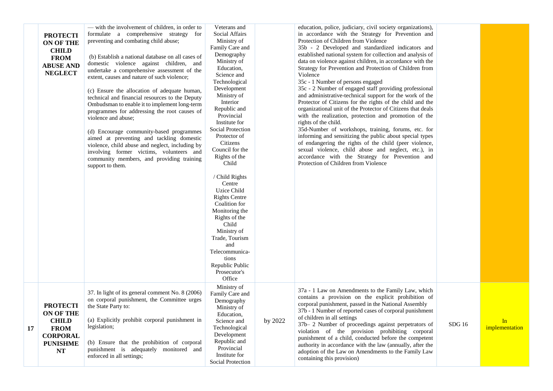|    | <b>PROTECTI</b><br><b>ON OF THE</b><br><b>CHILD</b><br><b>FROM</b><br><b>ABUSE AND</b><br><b>NEGLECT</b> | — with the involvement of children, in order to<br>formulate a comprehensive strategy for<br>preventing and combating child abuse;<br>(b) Establish a national database on all cases of<br>domestic violence against children, and<br>undertake a comprehensive assessment of the<br>extent, causes and nature of such violence;<br>(c) Ensure the allocation of adequate human,<br>technical and financial resources to the Deputy<br>Ombudsman to enable it to implement long-term<br>programmes for addressing the root causes of<br>violence and abuse:<br>(d) Encourage community-based programmes<br>aimed at preventing and tackling domestic<br>violence, child abuse and neglect, including by<br>involving former victims, volunteers and<br>community members, and providing training<br>support to them. | Veterans and<br>Social Affairs<br>Ministry of<br>Family Care and<br>Demography<br>Ministry of<br>Education,<br>Science and<br>Technological<br>Development<br>Ministry of<br>Interior<br>Republic and<br>Provincial<br>Institute for<br><b>Social Protection</b><br>Protector of<br>Citizens<br>Council for the<br>Rights of the<br>Child<br>/ Child Rights<br>Centre<br><b>Uzice Child</b><br><b>Rights Centre</b><br>Coalition for<br>Monitoring the<br>Rights of the<br>Child<br>Ministry of<br>Trade, Tourism<br>and<br>Telecommunica-<br>tions<br>Republic Public<br>Prosecutor's<br>Office |         | education, police, judiciary, civil society organizations),<br>in accordance with the Strategy for Prevention and<br>Protection of Children from Violence<br>35b - 2 Developed and standardized indicators and<br>established national system for collection and analysis of<br>data on violence against children, in accordance with the<br>Strategy for Prevention and Protection of Children from<br>Violence<br>35c - 1 Number of persons engaged<br>35c - 2 Number of engaged staff providing professional<br>and administrative-technical support for the work of the<br>Protector of Citizens for the rights of the child and the<br>organizational unit of the Protector of Citizens that deals<br>with the realization, protection and promotion of the<br>rights of the child.<br>35d-Number of workshops, training, forums, etc. for<br>informing and sensitizing the public about special types<br>of endangering the rights of the child (peer violence,<br>sexual violence, child abuse and neglect, etc.), in<br>accordance with the Strategy for Prevention and<br>Protection of Children from Violence |       |                      |
|----|----------------------------------------------------------------------------------------------------------|----------------------------------------------------------------------------------------------------------------------------------------------------------------------------------------------------------------------------------------------------------------------------------------------------------------------------------------------------------------------------------------------------------------------------------------------------------------------------------------------------------------------------------------------------------------------------------------------------------------------------------------------------------------------------------------------------------------------------------------------------------------------------------------------------------------------|--------------------------------------------------------------------------------------------------------------------------------------------------------------------------------------------------------------------------------------------------------------------------------------------------------------------------------------------------------------------------------------------------------------------------------------------------------------------------------------------------------------------------------------------------------------------------------------------------|---------|-------------------------------------------------------------------------------------------------------------------------------------------------------------------------------------------------------------------------------------------------------------------------------------------------------------------------------------------------------------------------------------------------------------------------------------------------------------------------------------------------------------------------------------------------------------------------------------------------------------------------------------------------------------------------------------------------------------------------------------------------------------------------------------------------------------------------------------------------------------------------------------------------------------------------------------------------------------------------------------------------------------------------------------------------------------------------------------------------------------------------|-------|----------------------|
| 17 | <b>PROTECTI</b><br>ON OF THE<br><b>CHILD</b><br><b>FROM</b><br><b>CORPORAL</b><br><b>PUNISHME</b><br>NT  | 37. In light of its general comment No. 8 (2006)<br>on corporal punishment, the Committee urges<br>the State Party to:<br>(a) Explicitly prohibit corporal punishment in<br>legislation;<br>(b) Ensure that the prohibition of corporal<br>punishment is adequately monitored and<br>enforced in all settings;                                                                                                                                                                                                                                                                                                                                                                                                                                                                                                       | Ministry of<br>Family Care and<br>Demography<br>Ministry of<br>Education,<br>Science and<br>Technological<br>Development<br>Republic and<br>Provincial<br>Institute for<br><b>Social Protection</b>                                                                                                                                                                                                                                                                                                                                                                                              | by 2022 | 37a - 1 Law on Amendments to the Family Law, which<br>contains a provision on the explicit prohibition of<br>corporal punishment, passed in the National Assembly<br>37b - 1 Number of reported cases of corporal punishment<br>of children in all settings<br>37b- 2 Number of proceedings against perpetrators of<br>violation of the provision prohibiting corporal<br>punishment of a child, conducted before the competent<br>authority in accordance with the law (annually, after the<br>adoption of the Law on Amendments to the Family Law<br>containing this provision)                                                                                                                                                                                                                                                                                                                                                                                                                                                                                                                                       | SDG16 | In<br>implementation |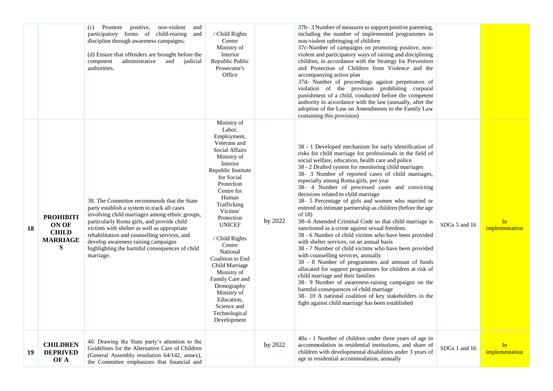|    |                                                                    | positive,<br>non-violent<br>Promote<br>and<br>(c)<br>participatory forms of child-rearing<br>and<br>discipline through awareness campaigns;<br>(d) Ensure that offenders are brought before the<br>administrative<br>and judicial<br>competent<br>authorities.                                                                                                                                  | / Child Rights<br>Centre<br>Ministry of<br>Interior<br>Republic Public<br>Prosecutor's<br>Office                                                                                                                                                                                                                                                                                                                                               |         | 37b–3 Number of measures to support positive parenting,<br>including the number of implemented programmes in<br>non-violent upbringing of children<br>37c-Number of campaigns on promoting positive, non-<br>violent and participatory ways of raising and disciplining<br>children, in accordance with the Strategy for Prevention<br>and Protection of Children from Violence and the<br>accompanying action plan<br>37d- Number of proceedings against perpetrators of<br>violation of the provision prohibiting corporal<br>punishment of a child, conducted before the competent<br>authority in accordance with the law (annually, after the<br>adoption of the Law on Amendments to the Family Law<br>containing this provision)                                                                                                                                                                                                                                                                                                                                                                                                                                                                                                    |               |                      |
|----|--------------------------------------------------------------------|-------------------------------------------------------------------------------------------------------------------------------------------------------------------------------------------------------------------------------------------------------------------------------------------------------------------------------------------------------------------------------------------------|------------------------------------------------------------------------------------------------------------------------------------------------------------------------------------------------------------------------------------------------------------------------------------------------------------------------------------------------------------------------------------------------------------------------------------------------|---------|--------------------------------------------------------------------------------------------------------------------------------------------------------------------------------------------------------------------------------------------------------------------------------------------------------------------------------------------------------------------------------------------------------------------------------------------------------------------------------------------------------------------------------------------------------------------------------------------------------------------------------------------------------------------------------------------------------------------------------------------------------------------------------------------------------------------------------------------------------------------------------------------------------------------------------------------------------------------------------------------------------------------------------------------------------------------------------------------------------------------------------------------------------------------------------------------------------------------------------------------|---------------|----------------------|
| 18 | <b>PROHIBITI</b><br>ON OF<br><b>CHILD</b><br><b>MARRIAGE</b><br>S. | 38. The Committee recommends that the State<br>party establish a system to track all cases<br>involving child marriages among ethnic groups,<br>particularly Roma girls, and provide child<br>victims with shelter as well as appropriate<br>rehabilitation and counselling services, and<br>develop awareness raising campaigns<br>highlighting the harmful consequences of child<br>marriage. | Ministry of<br>Labor,<br>Employment,<br>Veterans and<br>Social Affairs<br>Ministry of<br>Interior<br>Republic Institute<br>for Social<br>Protection<br>Centre for<br>Human<br>Trafficking<br>Victims'<br>Protection<br><b>UNICEF</b><br>/ Child Rights<br>Centre<br>National<br>Coalition to End<br>Child Marriage<br>Ministry of<br>Family Care and<br>Demography<br>Ministry of<br>Education,<br>Science and<br>Technological<br>Development | by 2022 | 38 - 1 Developed mechanism for early identification of<br>risks for child marriage for professionals in the field of<br>social welfare, education, health care and police<br>38 - 2 Drafted system for monitoring child marriages<br>38-3 Number of reported cases of child marriages,<br>especially among Roma girls, per year<br>38- 4 Number of processed cases and convicting<br>decisions related to child marriage<br>38-5 Percentage of girls and women who married or<br>entered an intimate partnership as children (before the age<br>of $18$ )<br>38--6 Amended Criminal Code so that child marriage is<br>sanctioned as a crime against sexual freedom.<br>38 - 6 Number of child victims who have been provided<br>with shelter services, on an annual basis<br>38 - 7 Number of child victims who have been provided<br>with counselling services, annually<br>38 - 8 Number of programmes and amount of funds<br>allocated for support programmes for children at risk of<br>child marriage and their families<br>38-9 Number of awareness-raising campaigns on the<br>harmful consequences of child marriage<br>38-10 A national coalition of key stakeholders in the<br>fight against child marriage has been established | SDGs 5 and 16 | In<br>implementation |
| 19 | <b>CHILDREN</b><br><b>DEPRIVED</b><br>OF A                         | 40. Drawing the State party's attention to the<br>Guidelines for the Alternative Care of Children<br>(General Assembly resolution 64/142, annex),<br>the Committee emphasizes that financial and                                                                                                                                                                                                |                                                                                                                                                                                                                                                                                                                                                                                                                                                | by 2022 | 40a - 1 Number of children under three years of age in<br>accommodation in residential institutions, and share of<br>children with developmental disabilities under 3 years of<br>age in residential accommodation, annually                                                                                                                                                                                                                                                                                                                                                                                                                                                                                                                                                                                                                                                                                                                                                                                                                                                                                                                                                                                                               | SDGs 1 and 16 | In<br>implementation |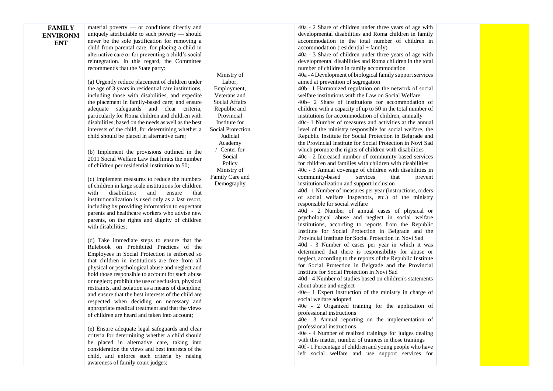| <b>FAMILY</b><br><b>ENVIRONM</b><br><b>ENT</b> | material poverty $-$ or conditions directly and<br>uniquely attributable to such poverty - should<br>never be the sole justification for removing a<br>child from parental care, for placing a child in<br>alternative care or for preventing a child's social<br>reintegration. In this regard, the Committee<br>recommends that the State party:<br>(a) Urgently reduce placement of children under<br>the age of 3 years in residential care institutions,<br>including those with disabilities, and expedite<br>the placement in family-based care; and ensure<br>adequate safeguards and clear criteria,<br>particularly for Roma children and children with<br>disabilities, based on the needs as well as the best<br>interests of the child, for determining whether a<br>child should be placed in alternative care;<br>(b) Implement the provisions outlined in the<br>2011 Social Welfare Law that limits the number<br>of children per residential institution to 50;<br>(c) Implement measures to reduce the numbers<br>of children in large scale institutions for children<br>disabilities;<br>with<br>and<br>ensure<br>that<br>institutionalization is used only as a last resort,<br>including by providing information to expectant<br>parents and healthcare workers who advise new<br>parents, on the rights and dignity of children<br>with disabilities;<br>(d) Take immediate steps to ensure that the<br>Rulebook on Prohibited Practices of the | Ministry of<br>Labor,<br>Employment,<br>Veterans and<br><b>Social Affairs</b><br>Republic and<br>Provincial<br>Institute for<br>Social Protection<br>Judicial<br>Academy<br>Center for<br>Social<br>Policy<br>Ministry of<br>Family Care and<br>Demography | 40a - 2 Share of children under three years of age with<br>developmental disabilities and Roma children in family<br>accommodation in the total number of children in<br>$account notation (residental + family)$<br>40a - 3 Share of children under three years of age with<br>developmental disabilities and Roma children in the total<br>number of children in family accommodation<br>40a - 4 Development of biological family support services<br>aimed at prevention of segregation<br>40b-1 Harmonized regulation on the network of social<br>welfare institutions with the Law on Social Welfare<br>40b- 2 Share of institutions for accommodation of<br>children with a capacity of up to 50 in the total number of<br>institutions for accommodation of children, annually<br>40c- 1 Number of measures and activities at the annual<br>level of the ministry responsible for social welfare, the<br>Republic Institute for Social Protection in Belgrade and<br>the Provincial Institute for Social Protection in Novi Sad<br>which promote the rights of children with disabilities<br>40c - 2 Increased number of community-based services<br>for children and families with children with disabilities<br>40c - 3 Annual coverage of children with disabilities in<br>community-based<br>services<br>that<br>prevent<br>institutionalization and support inclusion<br>40d-1 Number of measures per year (instructions, orders<br>of social welfare inspectors, etc.) of the ministry<br>responsible for social welfare<br>40d - 2 Number of annual cases of physical or<br>psychological abuse and neglect in social welfare<br>institutions, according to reports from the Republic<br>Institute for Social Protection in Belgrade and the<br>Provincial Institute for Social Protection in Novi Sad<br>40d - 3 Number of cases per year in which it was<br>determined that there is responsibility for abuse or |  |
|------------------------------------------------|--------------------------------------------------------------------------------------------------------------------------------------------------------------------------------------------------------------------------------------------------------------------------------------------------------------------------------------------------------------------------------------------------------------------------------------------------------------------------------------------------------------------------------------------------------------------------------------------------------------------------------------------------------------------------------------------------------------------------------------------------------------------------------------------------------------------------------------------------------------------------------------------------------------------------------------------------------------------------------------------------------------------------------------------------------------------------------------------------------------------------------------------------------------------------------------------------------------------------------------------------------------------------------------------------------------------------------------------------------------------------------------------------------------------------------------------------------------------------|------------------------------------------------------------------------------------------------------------------------------------------------------------------------------------------------------------------------------------------------------------|----------------------------------------------------------------------------------------------------------------------------------------------------------------------------------------------------------------------------------------------------------------------------------------------------------------------------------------------------------------------------------------------------------------------------------------------------------------------------------------------------------------------------------------------------------------------------------------------------------------------------------------------------------------------------------------------------------------------------------------------------------------------------------------------------------------------------------------------------------------------------------------------------------------------------------------------------------------------------------------------------------------------------------------------------------------------------------------------------------------------------------------------------------------------------------------------------------------------------------------------------------------------------------------------------------------------------------------------------------------------------------------------------------------------------------------------------------------------------------------------------------------------------------------------------------------------------------------------------------------------------------------------------------------------------------------------------------------------------------------------------------------------------------------------------------------------------------------------------------------------------------------------------------------------------------|--|
|                                                | Employees in Social Protection is enforced so<br>that children in institutions are free from all<br>physical or psychological abuse and neglect and<br>hold those responsible to account for such abuse<br>or neglect; prohibit the use of seclusion, physical<br>restraints, and isolation as a means of discipline;<br>and ensure that the best interests of the child are<br>respected when deciding on necessary and<br>appropriate medical treatment and that the views<br>of children are heard and taken into account;                                                                                                                                                                                                                                                                                                                                                                                                                                                                                                                                                                                                                                                                                                                                                                                                                                                                                                                                            |                                                                                                                                                                                                                                                            | neglect, according to the reports of the Republic Institute<br>for Social Protection in Belgrade and the Provincial<br>Institute for Social Protection in Novi Sad<br>40d - 4 Number of studies based on children's statements<br>about abuse and neglect<br>40e- 1 Expert instruction of the ministry in charge of<br>social welfare adopted<br>40e - 2 Organized training for the application of<br>professional instructions<br>$40e-3$ Annual reporting on the implementation of                                                                                                                                                                                                                                                                                                                                                                                                                                                                                                                                                                                                                                                                                                                                                                                                                                                                                                                                                                                                                                                                                                                                                                                                                                                                                                                                                                                                                                             |  |

professional instructions

40e - 4 Number of realized trainings for judges dealing with this matter, number of trainees in those trainings 40f - 1 Percentage of children and young people who have left social welfare and use support services for

(e) Ensure adequate legal safeguards and clear criteria for determining whether a child should be placed in alternative care, taking into consideration the views and best interests of the child, and enforce such criteria by raising awareness of family court judges;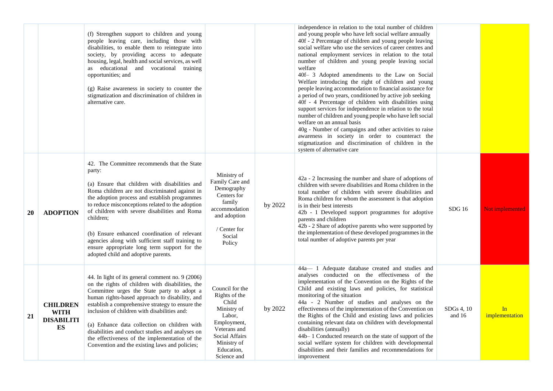|    |                                                           | (f) Strengthen support to children and young<br>people leaving care, including those with<br>disabilities, to enable them to reintegrate into<br>society, by providing access to adequate<br>housing, legal, health and social services, as well<br>as educational and vocational training<br>opportunities; and<br>(g) Raise awareness in society to counter the<br>stigmatization and discrimination of children in<br>alternative care.                                                                              |                                                                                                                                                                        |         | independence in relation to the total number of children<br>and young people who have left social welfare annually<br>40f - 2 Percentage of children and young people leaving<br>social welfare who use the services of career centres and<br>national employment services in relation to the total<br>number of children and young people leaving social<br>welfare<br>40f- 3 Adopted amendments to the Law on Social<br>Welfare introducing the right of children and young<br>people leaving accommodation to financial assistance for<br>a period of two years, conditioned by active job seeking<br>40f - 4 Percentage of children with disabilities using<br>support services for independence in relation to the total<br>number of children and young people who have left social<br>welfare on an annual basis<br>40g - Number of campaigns and other activities to raise<br>awareness in society in order to counteract the<br>stigmatization and discrimination of children in the<br>system of alternative care |                      |                      |
|----|-----------------------------------------------------------|-------------------------------------------------------------------------------------------------------------------------------------------------------------------------------------------------------------------------------------------------------------------------------------------------------------------------------------------------------------------------------------------------------------------------------------------------------------------------------------------------------------------------|------------------------------------------------------------------------------------------------------------------------------------------------------------------------|---------|-----------------------------------------------------------------------------------------------------------------------------------------------------------------------------------------------------------------------------------------------------------------------------------------------------------------------------------------------------------------------------------------------------------------------------------------------------------------------------------------------------------------------------------------------------------------------------------------------------------------------------------------------------------------------------------------------------------------------------------------------------------------------------------------------------------------------------------------------------------------------------------------------------------------------------------------------------------------------------------------------------------------------------|----------------------|----------------------|
| 20 | <b>ADOPTION</b>                                           | 42. The Committee recommends that the State<br>party:<br>(a) Ensure that children with disabilities and<br>Roma children are not discriminated against in<br>the adoption process and establish programmes<br>to reduce misconceptions related to the adoption<br>of children with severe disabilities and Roma<br>children;<br>(b) Ensure enhanced coordination of relevant<br>agencies along with sufficient staff training to<br>ensure appropriate long term support for the<br>adopted child and adoptive parents. | Ministry of<br>Family Care and<br>Demography<br>Centers for<br>family<br>accommodation<br>and adoption<br>/ Center for<br>Social<br>Policy                             | by 2022 | 42a - 2 Increasing the number and share of adoptions of<br>children with severe disabilities and Roma children in the<br>total number of children with severe disabilities and<br>Roma children for whom the assessment is that adoption<br>is in their best interests<br>42b - 1 Developed support programmes for adoptive<br>parents and children<br>42b - 2 Share of adoptive parents who were supported by<br>the implementation of these developed programmes in the<br>total number of adoptive parents per year                                                                                                                                                                                                                                                                                                                                                                                                                                                                                                      | SDG16                | Not implemented      |
| 21 | <b>CHILDREN</b><br><b>WITH</b><br><b>DISABILITI</b><br>ES | 44. In light of its general comment no. 9 (2006)<br>on the rights of children with disabilities, the<br>Committee urges the State party to adopt a<br>human rights-based approach to disability, and<br>establish a comprehensive strategy to ensure the<br>inclusion of children with disabilities and:<br>(a) Enhance data collection on children with<br>disabilities and conduct studies and analyses on<br>the effectiveness of the implementation of the<br>Convention and the existing laws and policies;        | Council for the<br>Rights of the<br>Child<br>Ministry of<br>Labor,<br>Employment,<br>Veterans and<br><b>Social Affairs</b><br>Ministry of<br>Education,<br>Science and | by 2022 | 44a-1 Adequate database created and studies and<br>analyses conducted on the effectiveness of the<br>implementation of the Convention on the Rights of the<br>Child and existing laws and policies, for statistical<br>monitoring of the situation<br>44a - 2 Number of studies and analyses on the<br>effectiveness of the implementation of the Convention on<br>the Rights of the Child and existing laws and policies<br>containing relevant data on children with developmental<br>disabilities (annually)<br>44b-1 Conducted research on the state of support of the<br>social welfare system for children with developmental<br>disabilities and their families and recommendations for<br>improvement                                                                                                                                                                                                                                                                                                               | SDGs 4, 10<br>and 16 | In<br>implementation |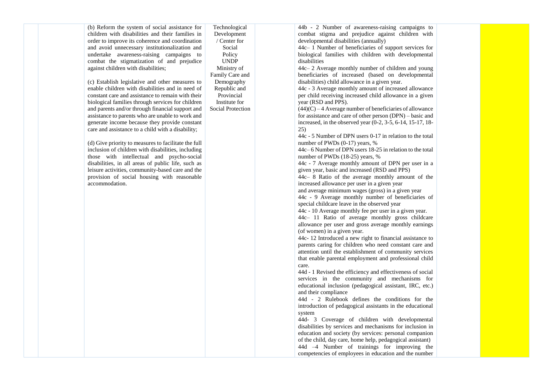(b) Reform the system of social assistance for children with disabilities and their families in order to improve its coherence and coordination and avoid unnecessary institutionalization and undertake awareness-raising campaigns to combat the stigmatization of and prejudice against children with disabilities;

(c) Establish legislative and other measures to enable children with disabilities and in need of constant care and assistance to remain with their biological families through services for children and parents and/or through financial support and assistance to parents who are unable to work and generate income because they provide constant care and assistance to a child with a disability;

accommodation.

(d) Give priority to measures to facilitate the full inclusion of children with disabilities, including those with intellectual and psycho-social disabilities, in all areas of public life, such as leisure activities, community-based care and the provision of social housing with reasonable

Development / Center for Social Policy UNDP Ministry of Family Care and Demography Republic and Provincial Institute for Social Protection

Technological

44b - 2 Number of awareness-raising campaigns to combat stigma and prejudice against children with developmental disabilities (annually)

44c– 1 Number of beneficiaries of support services for biological families with children with developmental disabilities

44c– 2 Average monthly number of children and young beneficiaries of increased (based on developmental disabilities) child allowance in a given year.

44c - 3 Average monthly amount of increased allowance per child receiving increased child allowance in a given year (RSD and PPS).

 $(44)(C) - 4$  Average number of beneficiaries of allowance for assistance and care of other person (DPN) – basic and increased, in the observed year (0-2, 3-5, 6-14, 15-17, 18- 25)

44c - 5 Number of DPN users 0-17 in relation to the total number of PWDs (0-17) years, %

44c– 6 Number of DPN users 18-25 in relation to the total number of PWDs (18-25) years, %

44c - 7 Average monthly amount of DPN per user in a given year, basic and increased (RSD and PPS)

44c– 8 Ratio of the average monthly amount of the increased allowance per user in a given year

and average minimum wages (gross) in a given year

44c - 9 Average monthly number of beneficiaries of special childcare leave in the observed year

44c - 10 Average monthly fee per user in a given year.

44c– 11 Ratio of average monthly gross childcare allowance per user and gross average monthly earnings (of women) in a given year.

44c- 12 Introduced a new right to financial assistance to parents caring for children who need constant care and attention until the establishment of community services that enable parental employment and professional child care.

44d - 1 Revised the efficiency and effectiveness of social services in the community and mechanisms for educational inclusion (pedagogical assistant, IRC, etc.) and their compliance

44d - 2 Rulebook defines the conditions for the introduction of pedagogical assistants in the educational system

44d- 3 Coverage of children with developmental disabilities by services and mechanisms for inclusion in education and society (by services: personal companion of the child, day care, home help, pedagogical assistant) 44d –4 Number of trainings for improving the competencies of employees in education and the number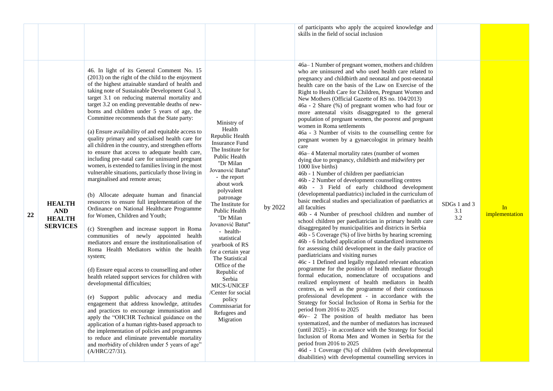46. In light of its General Comment No. 15 (2013) on the right of the child to the enjoyment of the highest attainable standard of health and taking note of Sustainable Development Goal 3, target 3.1 on reducing maternal mortality and target 3.2 on ending preventable deaths of newborns and children under 5 years of age, the Committee recommends that the State party:

Ministry of

(a) Ensure availability of and equitable access to quality primary and specialised health care for all children in the country, and strengthen efforts to ensure that access to adequate health care, including pre-natal care for uninsured pregnant women, is extended to families living in the most vulnerable situations, particularly those living in marginalised and remote areas;

(b) Allocate adequate human and financial resources to ensure full implementation of the Ordinance on National Healthcare Programme for Women, Children and Youth;

(c) Strengthen and increase support in Roma communities of newly appointed health mediators and ensure the institutionalisation of Roma Health Mediators within the health system;

(d) Ensure equal access to counselling and other health related support services for children with developmental difficulties;

(e) Support public advocacy and media engagement that address knowledge, attitudes and practices to encourage immunisation and apply the "OHCHR Technical guidance on the application of a human rights-based approach to the implementation of policies and programmes to reduce and eliminate preventable mortality and morbidity of children under 5 years of age" (A/HRC/27/31).

Health Republic Health Insurance Fund The Institute for Public Health "Dr Milan Jovanović Batut" - the report about work polyvalent patronage The Institute for Public Health "Dr Milan Jovanović Batut" - healthstatistical yearbook of RS for a certain year The Statistical Office of the Republic of Serbia MICS-UNICEF /Center for social policy Commissariat for Refugees and Migration

by 2022

of participants who apply the acquired knowledge and skills in the field of social inclusion

46a– 1 Number of pregnant women, mothers and children who are uninsured and who used health care related to pregnancy and childbirth and neonatal and post-neonatal health care on the basis of the Law on Exercise of the Right to Health Care for Children, Pregnant Women and New Mothers (Official Gazette of RS no. 104/2013)

46a - 2 Share (%) of pregnant women who had four or more antenatal visits disaggregated to the general population of pregnant women, the poorest and pregnant women in Roma settlements

46a - 3 Number of visits to the counselling centre for pregnant women by a gynaecologist in primary health care

46a– 4 Maternal mortality rates (number of women dying due to pregnancy, childbirth and midwifery per 1000 live births)

46b - 1 Number of children per paediatrician

46b - 2 Number of development counselling centres

46b - 3 Field of early childhood development (developmental paediatrics) included in the curriculum of basic medical studies and specialization of paediatrics at all faculties

46b - 4 Number of preschool children and number of school children per paediatrician in primary health care disaggregated by municipalities and districts in Serbia

46b - 5 Coverage (%) of live births by hearing screening 46b - 6 Included application of standardized instruments for assessing child development in the daily practice of paediatricians and visiting nurses

46c - 1 Defined and legally regulated relevant education programme for the position of health mediator through formal education, nomenclature of occupations and realized employment of health mediators in health centres, as well as the programme of their continuous professional development - in accordance with the Strategy for Social Inclusion of Roma in Serbia for the period from 2016 to 2025

46v– 2 The position of health mediator has been systematized, and the number of mediators has increased (until 2025) - in accordance with the Strategy for Social Inclusion of Roma Men and Women in Serbia for the period from 2016 to 2025

46d - 1 Coverage (%) of children (with developmental disabilities) with developmental counselling services in

SDGs 1 and 3 3.1 3.2

In **implementation** 

## **HEALTH SERVICES**

**HEALTH AND**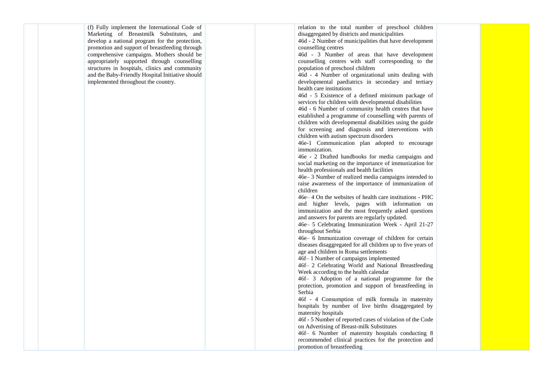(f) Fully implement the International Code of Marketing of Breastmilk Substitutes, and develop a national program for the protection, promotion and support of breastfeeding through comprehensive campaigns. Mothers should be appropriately supported through counselling structures in hospitals, clinics and community and the Baby -Friendly Hospital Initiative should implemented throughout the country.

relation to the total number of preschool children disaggregated by districts and municipalities

46d - 2 Number of municipalities that have development counselling centres

46d - 3 Number of areas that have development counselling centres with staff corresponding to the population of preschool children

46d - 4 Number of organizational units dealing with developmental paediatrics in secondary and tertiary health care institutions

46d - 5 Existence of a defined minimum package of services for children with developmental disabilities

46d - 6 Number of community health centres that have established a programme of counse lling with parents of children with developmental disabilities using the guide for screening and diagnosis and interventions with children with autism spectrum disorders

46e -1 Communication plan adopted to encourage immunization.

46e - 2 Drafted handbooks for media campaigns and social marketing on the importance of immunization for health professionals and health facilities

46e – 3 Number of realized media campaigns intended to raise awareness of the importance of immunization of children

46e – 4 On the websites of health care institutions - PHC and higher levels, pages with information on immunization and the most frequently asked questions and answers for parents are regularly updated.

46e – 5 Celebrating Immunization Week - April 21 -27 throughout Serbia

46e – 6 Immunization coverage of children for certain diseases disaggregated for all children up to five years of age and children in Roma settlements

46f– 1 Number of campaigns implemented

46f– 2 Celebrating World and National Breastfeeding Week according to the health calendar

46f– 3 Adoption of a national programme for the protection, promotion and support of breastfeeding in Serbia

46f - 4 Consumption of milk formula in maternity hospitals by number of live births disaggregated by maternity hospitals

46f - 5 Number of reported cases of violation of the Code on Advertising of Breast -milk Substitutes

46f– 6 Number of maternity hospitals conducting 8 recommended clinical practices for the protection and promotion of breastfeeding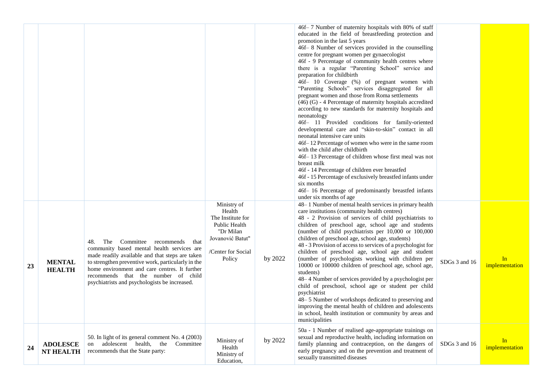|    |                                     |                                                                                                                                                                                                                                                                                                                                               |                                                                                                                              |         | 46f-7 Number of maternity hospitals with 80% of staff<br>educated in the field of breastfeeding protection and<br>promotion in the last 5 years<br>46f-8 Number of services provided in the counselling<br>centre for pregnant women per gynaecologist<br>46f - 9 Percentage of community health centres where<br>there is a regular "Parenting School" service and<br>preparation for childbirth<br>46f- 10 Coverage (%) of pregnant women with<br>"Parenting Schools" services disaggregated for all<br>pregnant women and those from Roma settlements<br>$(46)$ (G) - 4 Percentage of maternity hospitals accredited<br>according to new standards for maternity hospitals and<br>neonatology<br>46f- 11 Provided conditions for family-oriented<br>developmental care and "skin-to-skin" contact in all<br>neonatal intensive care units<br>46f-12 Percentage of women who were in the same room<br>with the child after childbirth<br>46f-13 Percentage of children whose first meal was not<br>breast milk<br>46f - 14 Percentage of children ever breastfed<br>46f - 15 Percentage of exclusively breastfed infants under<br>six months<br>46f- 16 Percentage of predominantly breastfed infants<br>under six months of age |               |                      |
|----|-------------------------------------|-----------------------------------------------------------------------------------------------------------------------------------------------------------------------------------------------------------------------------------------------------------------------------------------------------------------------------------------------|------------------------------------------------------------------------------------------------------------------------------|---------|------------------------------------------------------------------------------------------------------------------------------------------------------------------------------------------------------------------------------------------------------------------------------------------------------------------------------------------------------------------------------------------------------------------------------------------------------------------------------------------------------------------------------------------------------------------------------------------------------------------------------------------------------------------------------------------------------------------------------------------------------------------------------------------------------------------------------------------------------------------------------------------------------------------------------------------------------------------------------------------------------------------------------------------------------------------------------------------------------------------------------------------------------------------------------------------------------------------------------------|---------------|----------------------|
| 23 | <b>MENTAL</b><br><b>HEALTH</b>      | Committee<br>48.<br>The<br>recommends<br>that<br>community based mental health services are<br>made readily available and that steps are taken<br>to strengthen preventive work, particularly in the<br>home environment and care centres. It further<br>recommends that the number of child<br>psychiatrists and psychologists be increased. | Ministry of<br>Health<br>The Institute for<br>Public Health<br>"Dr Milan<br>Jovanović Batut"<br>/Center for Social<br>Policy | by 2022 | 48-1 Number of mental health services in primary health<br>care institutions (community health centres)<br>48 - 2 Provision of services of child psychiatrists to<br>children of preschool age, school age and students<br>(number of child psychiatrists per 10,000 or 100,000<br>children of preschool age, school age, students)<br>48 - 3 Provision of access to services of a psychologist for<br>children of preschool age, school age and student<br>(number of psychologists working with children per<br>10000 or 100000 children of preschool age, school age,<br>students)<br>48–4 Number of services provided by a psychologist per<br>child of preschool, school age or student per child<br>psychiatrist<br>48-5 Number of workshops dedicated to preserving and<br>improving the mental health of children and adolescents<br>in school, health institution or community by areas and<br>municipalities                                                                                                                                                                                                                                                                                                             | SDGs 3 and 16 | In<br>implementation |
| 24 | <b>ADOLESCE</b><br><b>NT HEALTH</b> | 50. In light of its general comment No. 4 (2003)<br>adolescent health, the<br>Committee<br>on<br>recommends that the State party:                                                                                                                                                                                                             | Ministry of<br>Health<br>Ministry of<br>Education,                                                                           | by 2022 | 50a - 1 Number of realised age-appropriate trainings on<br>sexual and reproductive health, including information on<br>family planning and contraception, on the dangers of<br>early pregnancy and on the prevention and treatment of<br>sexually transmitted diseases                                                                                                                                                                                                                                                                                                                                                                                                                                                                                                                                                                                                                                                                                                                                                                                                                                                                                                                                                             | SDGs 3 and 16 | In<br>implementation |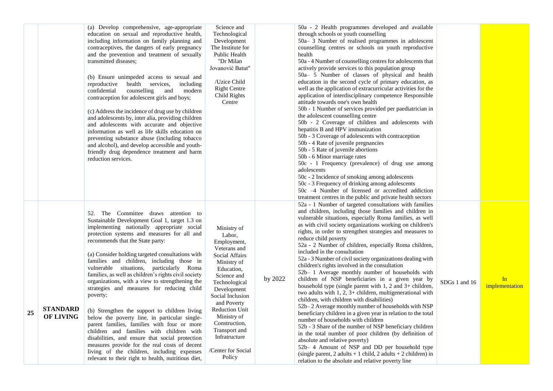|    |                                     | (a) Develop comprehensive, age-appropriate<br>education on sexual and reproductive health,<br>including information on family planning and<br>contraceptives, the dangers of early pregnancy<br>and the prevention and treatment of sexually<br>transmitted diseases;<br>(b) Ensure unimpeded access to sexual and<br>health<br>reproductive<br>services,<br>including<br>counselling<br>confidential<br>and<br>modern<br>contraception for adolescent girls and boys;<br>(c) Address the incidence of drug use by children<br>and adolescents by, inter alia, providing children<br>and adolescents with accurate and objective<br>information as well as life skills education on<br>preventing substance abuse (including tobacco<br>and alcohol), and develop accessible and youth-<br>friendly drug dependence treatment and harm<br>reduction services.                                                                                  | Science and<br>Technological<br>Development<br>The Institute for<br>Public Health<br>"Dr Milan<br>Jovanović Batut"<br>/Uzice Child<br><b>Right Centre</b><br>Child Rights<br>Centre                                                                                                                              |         | 50a - 2 Health programmes developed and available<br>through schools or youth counselling<br>50a-3 Number of realised programmes in adolescent<br>counselling centres or schools on youth reproductive<br>health<br>50a - 4 Number of counselling centres for adolescents that<br>actively provide services to this population group<br>50a- 5 Number of classes of physical and health<br>education in the second cycle of primary education, as<br>well as the application of extracurricular activities for the<br>application of interdisciplinary competence Responsible<br>attitude towards one's own health<br>50b - 1 Number of services provided per paediatrician in<br>the adolescent counselling centre<br>50b - 2 Coverage of children and adolescents with<br>hepatitis B and HPV immunization<br>50b - 3 Coverage of adolescents with contraception<br>50b - 4 Rate of juvenile pregnancies<br>50b - 5 Rate of juvenile abortions<br>50b - 6 Minor marriage rates<br>50c - 1 Frequency (prevalence) of drug use among<br>adolescents<br>50c - 2 Incidence of smoking among adolescents<br>50c - 3 Frequency of drinking among adolescents<br>50c -4 Number of licensed or accredited addiction<br>treatment centres in the public and private health sectors                                          |               |                      |
|----|-------------------------------------|------------------------------------------------------------------------------------------------------------------------------------------------------------------------------------------------------------------------------------------------------------------------------------------------------------------------------------------------------------------------------------------------------------------------------------------------------------------------------------------------------------------------------------------------------------------------------------------------------------------------------------------------------------------------------------------------------------------------------------------------------------------------------------------------------------------------------------------------------------------------------------------------------------------------------------------------|------------------------------------------------------------------------------------------------------------------------------------------------------------------------------------------------------------------------------------------------------------------------------------------------------------------|---------|----------------------------------------------------------------------------------------------------------------------------------------------------------------------------------------------------------------------------------------------------------------------------------------------------------------------------------------------------------------------------------------------------------------------------------------------------------------------------------------------------------------------------------------------------------------------------------------------------------------------------------------------------------------------------------------------------------------------------------------------------------------------------------------------------------------------------------------------------------------------------------------------------------------------------------------------------------------------------------------------------------------------------------------------------------------------------------------------------------------------------------------------------------------------------------------------------------------------------------------------------------------------------------------------------------------------|---------------|----------------------|
| 25 | <b>STANDARD</b><br><b>OF LIVING</b> | 52. The Committee draws attention to<br>Sustainable Development Goal 1, target 1.3 on<br>implementing nationally appropriate social<br>protection systems and measures for all and<br>recommends that the State party:<br>(a) Consider holding targeted consultations with<br>families and children, including those in<br>vulnerable situations, particularly Roma<br>families, as well as children's rights civil society<br>organizations, with a view to strengthening the<br>strategies and measures for reducing child<br>poverty;<br>(b) Strengthen the support to children living<br>below the poverty line, in particular single-<br>parent families, families with four or more<br>children and families with children with<br>disabilities, and ensure that social protection<br>measures provide for the real costs of decent<br>living of the children, including expenses<br>relevant to their right to health, nutritious diet, | Ministry of<br>Labor,<br>Employment,<br>Veterans and<br>Social Affairs<br>Ministry of<br>Education,<br>Science and<br>Technological<br>Development<br>Social Inclusion<br>and Poverty<br><b>Reduction Unit</b><br>Ministry of<br>Construction,<br>Transport and<br>Infratructure<br>/Center for Social<br>Policy | by 2022 | 52a - 1 Number of targeted consultations with families<br>and children, including those families and children in<br>vulnerable situations, especially Roma families, as well<br>as with civil society organizations working on children's<br>rights, in order to strengthen strategies and measures to<br>reduce child poverty<br>52a - 2 Number of children, especially Roma children,<br>included in the consultation<br>52a - 3 Number of civil society organizations dealing with<br>children's rights involved in the consultation<br>52b- 1 Average monthly number of households with<br>children of NSP beneficiaries in a given year by<br>household type (single parent with 1, 2 and 3+ children,<br>two adults with 1, 2, 3+ children, multigenerational with<br>children, with children with disabilities)<br>52b-2 Average monthly number of households with NSP<br>beneficiary children in a given year in relation to the total<br>number of households with children<br>52b - 3 Share of the number of NSP beneficiary children<br>in the total number of poor children (by definition of<br>absolute and relative poverty)<br>52b- 4 Amount of NSP and DD per household type<br>(single parent, 2 adults + 1 child, 2 adults + 2 children) in<br>relation to the absolute and relative poverty line | SDGs 1 and 16 | In<br>implementation |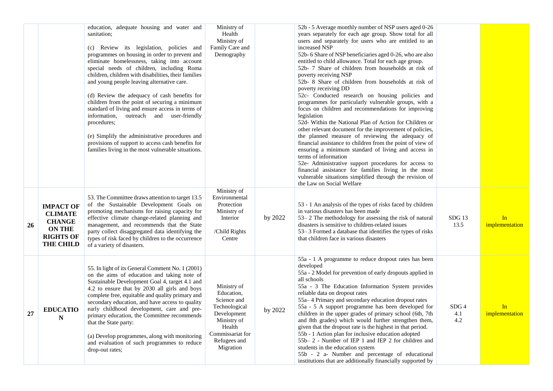|           |                                                                                                              | education, adequate housing and water and<br>sanitation;<br>(c) Review its legislation, policies and<br>programmes on housing in order to prevent and<br>eliminate homelessness, taking into account<br>special needs of children, including Roma<br>children, children with disabilities, their families<br>and young people leaving alternative care.<br>(d) Review the adequacy of cash benefits for<br>children from the point of securing a minimum<br>standard of living and ensure access in terms of<br>information,<br>outreach and user-friendly<br>procedures;<br>(e) Simplify the administrative procedures and<br>provisions of support to access cash benefits for<br>families living in the most vulnerable situations. | Ministry of<br>Health<br>Ministry of<br>Family Care and<br>Demography                                                                              |         | 52b - 5 Average monthly number of NSP users aged 0-26<br>years separately for each age group. Show total for all<br>users and separately for users who are entitled to an<br>increased NSP<br>52b- 6 Share of NSP beneficiaries aged 0-26, who are also<br>entitled to child allowance. Total for each age group.<br>52b- 7 Share of children from households at risk of<br>poverty receiving NSP<br>52b- 8 Share of children from households at risk of<br>poverty receiving DD<br>52c- Conducted research on housing policies and<br>programmes for particularly vulnerable groups, with a<br>focus on children and recommendations for improving<br>legislation<br>52d- Within the National Plan of Action for Children or<br>other relevant document for the improvement of policies,<br>the planned measure of reviewing the adequacy of<br>financial assistance to children from the point of view of<br>ensuring a minimum standard of living and access in<br>terms of information<br>52e- Administrative support procedures for access to<br>financial assistance for families living in the most<br>vulnerable situations simplified through the revision of<br>the Law on Social Welfare |                                |                      |
|-----------|--------------------------------------------------------------------------------------------------------------|----------------------------------------------------------------------------------------------------------------------------------------------------------------------------------------------------------------------------------------------------------------------------------------------------------------------------------------------------------------------------------------------------------------------------------------------------------------------------------------------------------------------------------------------------------------------------------------------------------------------------------------------------------------------------------------------------------------------------------------|----------------------------------------------------------------------------------------------------------------------------------------------------|---------|-----------------------------------------------------------------------------------------------------------------------------------------------------------------------------------------------------------------------------------------------------------------------------------------------------------------------------------------------------------------------------------------------------------------------------------------------------------------------------------------------------------------------------------------------------------------------------------------------------------------------------------------------------------------------------------------------------------------------------------------------------------------------------------------------------------------------------------------------------------------------------------------------------------------------------------------------------------------------------------------------------------------------------------------------------------------------------------------------------------------------------------------------------------------------------------------------------|--------------------------------|----------------------|
| <b>26</b> | <b>IMPACT OF</b><br><b>CLIMATE</b><br><b>CHANGE</b><br><b>ON THE</b><br><b>RIGHTS OF</b><br><b>THE CHILD</b> | 53. The Committee draws attention to target 13.5<br>of the Sustainable Development Goals on<br>promoting mechanisms for raising capacity for<br>effective climate change-related planning and<br>management, and recommends that the State<br>party collect disaggregated data identifying the<br>types of risk faced by children to the occurrence<br>of a variety of disasters.                                                                                                                                                                                                                                                                                                                                                      | Ministry of<br>Environmental<br>Protection<br>Ministry of<br>Interior<br>/Child Rights<br>Centre                                                   | by 2022 | 53 - 1 An analysis of the types of risks faced by children<br>in various disasters has been made<br>53-2 The methodology for assessing the risk of natural<br>disasters is sensitive to children-related issues<br>53–3 Formed a database that identifies the types of risks<br>that children face in various disasters                                                                                                                                                                                                                                                                                                                                                                                                                                                                                                                                                                                                                                                                                                                                                                                                                                                                             | $SDG$ 13<br>13.5               | In<br>implementation |
| 27        | <b>EDUCATIO</b><br>${\bf N}$                                                                                 | 55. In light of its General Comment No. 1 (2001)<br>on the aims of education and taking note of<br>Sustainable Development Goal 4, target 4.1 and<br>4.2 to ensure that by 2030 all girls and boys<br>complete free, equitable and quality primary and<br>secondary education, and have access to quality<br>early childhood development, care and pre-<br>primary education, the Committee recommends<br>that the State party:<br>(a) Develop programmes, along with monitoring<br>and evaluation of such programmes to reduce<br>drop-out rates;                                                                                                                                                                                     | Ministry of<br>Education,<br>Science and<br>Technological<br>Development<br>Ministry of<br>Health<br>Commissariat for<br>Refugees and<br>Migration | by 2022 | 55a - 1 A programme to reduce dropout rates has been<br>developed<br>55a - 2 Model for prevention of early dropouts applied in<br>all schools<br>55a - 3 The Education Information System provides<br>reliable data on dropout rates<br>55a-4 Primary and secondary education dropout rates<br>55a - 5 A support programme has been developed for<br>children in the upper grades of primary school (6th, 7th<br>and 8th grades) which would further strengthen them,<br>given that the dropout rate is the highest in that period.<br>55b - 1 Action plan for inclusive education adopted<br>55b-2 - Number of IEP 1 and IEP 2 for children and<br>students in the education system<br>55b - 2 a- Number and percentage of educational<br>institutions that are additionally financially supported by                                                                                                                                                                                                                                                                                                                                                                                              | SDG <sub>4</sub><br>4.1<br>4.2 | In<br>implementation |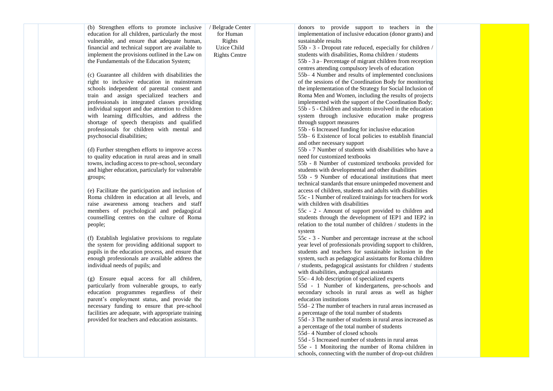(b) Strengthen efforts to promote inclusive education for all children, particularly the most vulnerable, and ensure that adequate human, financial and technical support are available to implement the provisions outlined in the Law on the Fundamentals of the Education System;

/ Belgrade Center for Human Rights Uzice Child Rights Centre

(c) Guarantee all children with disabilities the right to inclusive education in mainstream schools independent of parental consent and train and assign specialized teachers and professionals in integrated classes providing individual support and due attention to children with learning difficulties, and address the shortage of speech therapists and qualified professionals for children with mental and psychosocial disabilities;

(d) Further strengthen efforts to improve access to quality education in rural areas and in small towns, including access to pre-school, secondary and higher education, particularly for vulnerable groups;

(e) Facilitate the participation and inclusion of Roma children in education at all levels, and raise awareness among teachers and staff members of psychological and pedagogical counselling centres on the culture of Roma people;

(f) Establish legislative provisions to regulate the system for providing additional support to pupils in the education process, and ensure that enough professionals are available address the individual needs of pupils; and

(g) Ensure equal access for all children, particularly from vulnerable groups, to early education programmes regardless of their parent's employment status, and provide the necessary funding to ensure that pre-school facilities are adequate, with appropriate training provided for teachers and education assistants.

donors to provide support to teachers in the implementation of inclusive education (donor grants) and sustainable results

55b - 3 - Dropout rate reduced, especially for children / students with disabilities, Roma children / students

55b - 3 a– Percentage of migrant children from reception centres attending compulsory levels of education

55b– 4 Number and results of implemented conclusions of the sessions of the Coordination Body for monitoring the implementation of the Strategy for Social Inclusion of Roma Men and Women, including the results of projects implemented with the support of the Coordination Body; 55b - 5 - Children and students involved in the education system through inclusive education make progress through support measures

55b - 6 Increased funding for inclusive education

55b– 6 Existence of local policies to establish financial and other necessary support

55b - 7 Number of students with disabilities who have a need for customized textbooks

55b - 8 Number of customized textbooks provided for students with developmental and other disabilities

55b - 9 Number of educational institutions that meet technical standards that ensure unimpeded movement and access of children, students and adults with disabilities

55c - 1 Number of realized trainings for teachers for work with children with disabilities

55c - 2 - Amount of support provided to children and students through the development of IEP1 and IEP2 in relation to the total number of children / students in the system

55c - 3 - Number and percentage increase at the school year level of professionals providing support to children, students and teachers for sustainable inclusion in the system, such as pedagogical assistants for Roma children / students, pedagogical assistants for children / students with disabilities, andragogical assistants

55c– 4 Job description of specialized experts

55d - 1 Number of kindergartens, pre-schools and secondary schools in rural areas as well as higher education institutions

55d– 2 The number of teachers in rural areas increased as a percentage of the total number of students

55d - 3 The number of students in rural areas increased as a percentage of the total number of students

55d– 4 Number of closed schools

55d - 5 Increased number of students in rural areas

55e - 1 Monitoring the number of Roma children in schools, connecting with the number of drop-out children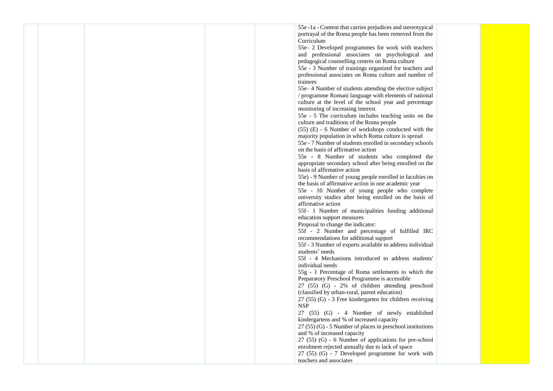55e -1a - Content that carries prejudices and stereotypical portrayal of the Roma people has been removed from the Curriculum

55e– 2 Developed programmes for work with teachers and professional associates on psychological and pedagogical counselling centres on Roma culture

55e - 3 Number of trainings organized for teachers and professional associates on Roma culture and number of trainees

55e– 4 Number of students attending the elective subject / programme Romani language with elements of national culture at the level of the school year and percentage monitoring of increasing interest

55e - 5 The curriculum includes teaching units on the culture and traditions of the Roma people

(55) (E) - 6 Number of workshops conducted with the majority population in which Roma culture is spread

55e - 7 Number of students enrolled in secondary schools on the basis of affirmative action

55e - 8 Number of students who completed the appropriate secondary school after being enrolled on the basis of affirmative action

55e) - 9 Number of young people enrolled in faculties on the basis of affirmative action in one academic year

55e - 10 Number of young people who complete university studies after being enrolled on the basis of affirmative action

55f– 1 Number of municipalities funding additional education support measures

Proposal to change the indicator:

55f - 2 Number and percentage of fulfilled IRC recommendations for additional support

55f - 3 Number of experts available to address individual students' needs

55f - 4 Mechanisms introduced to address students' individual needs

55g - 1 Percentage of Roma settlements to which the Preparatory Preschool Programme is accessible

27 (55) (G) - 2% of children attending preschool (classified by urban-rural, parent education)

27 (55) (G) - 3 Free kindergarten for children receiving NSP

27 (55) (G) - 4 Number of newly established kindergartens and % of increased capacity

 $27 (55) (G)$  - 5 Number of places in preschool institutions and % of increased capacity

27 (55) (G) - 6 Number of applications for pre-school enrolment rejected annually due to lack of space

27 (55) (G) - 7 Developed programme for work with teachers and associates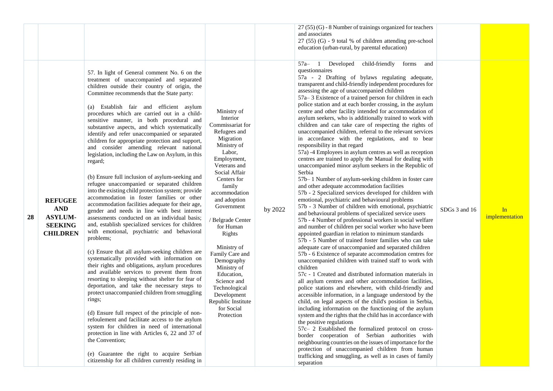| 28 | <b>REFUGEE</b><br><b>AND</b><br><b>ASYLUM-</b><br><b>SEEKING</b><br><b>CHILDREN</b> | 57. In light of General comment No. 6 on the<br>treatment of unaccompanied and separated<br>children outside their country of origin, the<br>Committee recommends that the State party:<br>(a) Establish fair and efficient asylum<br>procedures which are carried out in a child-<br>sensitive manner, in both procedural and<br>substantive aspects, and which systematically<br>identify and refer unaccompanied or separated<br>children for appropriate protection and support,<br>and consider amending relevant national<br>legislation, including the Law on Asylum, in this<br>regard;<br>(b) Ensure full inclusion of asylum-seeking and<br>refugee unaccompanied or separated children<br>into the existing child protection system; provide<br>accommodation in foster families or other<br>accommodation facilities adequate for their age,<br>gender and needs in line with best interest<br>assessments conducted on an individual basis;<br>and, establish specialized services for children<br>with emotional, psychiatric and behavioral<br>problems;<br>(c) Ensure that all asylum-seeking children are<br>systematically provided with information on<br>their rights and obligations, asylum procedures<br>and available services to prevent them from<br>resorting to sleeping without shelter for fear of<br>deportation, and take the necessary steps to<br>protect unaccompanied children from smuggling<br>rings;<br>(d) Ensure full respect of the principle of non-<br>refoulement and facilitate access to the asylum<br>system for children in need of international<br>protection in line with Articles 6, 22 and 37 of<br>the Convention; | Ministry of<br>Interior<br>Commissariat for<br>Refugees and<br>Migration<br>Ministry of<br>Labor,<br>Employment,<br>Veterans and<br>Social Affair<br>Centers for<br>family<br>accommodation<br>and adoption<br>Government<br><b>Belgrade Center</b><br>for Human<br>Rights<br>Ministry of<br>Family Care and<br>Demography<br>Ministry of<br>Education,<br>Science and<br>Technological<br>Development<br>Republic Institute<br>for Social<br>Protection | by 2022 | $27(55)(G)$ - 8 Number of trainings organized for teachers<br>and associates<br>27 (55) (G) - 9 total % of children attending pre-school<br>education (urban-rural, by parental education)<br>child-friendly<br>$57a-$<br>Developed<br>forms<br>and<br>questionnaires<br>57a - 2 Drafting of bylaws regulating adequate,<br>transparent and child-friendly independent procedures for<br>assessing the age of unaccompanied children<br>57a–3 Existence of a trained person for children in each<br>police station and at each border crossing, in the asylum<br>centre and other facility intended for accommodation of<br>asylum seekers, who is additionally trained to work with<br>children and can take care of respecting the rights of<br>unaccompanied children, referral to the relevant services<br>in accordance with the regulations, and to bear<br>responsibility in that regard<br>57a) -4 Employees in asylum centres as well as reception<br>centres are trained to apply the Manual for dealing with<br>unaccompanied minor asylum seekers in the Republic of<br>Serbia<br>57b-1 Number of asylum-seeking children in foster care<br>and other adequate accommodation facilities<br>57b - 2 Specialized services developed for children with<br>emotional, psychiatric and behavioural problems<br>57b - 3 Number of children with emotional, psychiatric<br>and behavioural problems of specialized service users<br>57b - 4 Number of professional workers in social welfare<br>and number of children per social worker who have been<br>appointed guardian in relation to minimum standards<br>57b - 5 Number of trained foster families who can take<br>adequate care of unaccompanied and separated children<br>57b - 6 Existence of separate accommodation centres for<br>unaccompanied children with trained staff to work with<br>children<br>57c - 1 Created and distributed information materials in<br>all asylum centres and other accommodation facilities,<br>police stations and elsewhere, with child-friendly and<br>accessible information, in a language understood by the<br>child, on legal aspects of the child's position in Serbia,<br>including information on the functioning of the asylum<br>system and the rights that the child has in accordance with<br>the positive regulations<br>57c- 2 Established the formalized protocol on cross-<br>border cooperation of Serbian authorities with<br>neighbouring countries on the issues of importance for the<br>protection of unaccompanied children from human | SDGs 3 and 16 | In<br>implementation |
|----|-------------------------------------------------------------------------------------|---------------------------------------------------------------------------------------------------------------------------------------------------------------------------------------------------------------------------------------------------------------------------------------------------------------------------------------------------------------------------------------------------------------------------------------------------------------------------------------------------------------------------------------------------------------------------------------------------------------------------------------------------------------------------------------------------------------------------------------------------------------------------------------------------------------------------------------------------------------------------------------------------------------------------------------------------------------------------------------------------------------------------------------------------------------------------------------------------------------------------------------------------------------------------------------------------------------------------------------------------------------------------------------------------------------------------------------------------------------------------------------------------------------------------------------------------------------------------------------------------------------------------------------------------------------------------------------------------------------------------------------------------------------------------|----------------------------------------------------------------------------------------------------------------------------------------------------------------------------------------------------------------------------------------------------------------------------------------------------------------------------------------------------------------------------------------------------------------------------------------------------------|---------|-----------------------------------------------------------------------------------------------------------------------------------------------------------------------------------------------------------------------------------------------------------------------------------------------------------------------------------------------------------------------------------------------------------------------------------------------------------------------------------------------------------------------------------------------------------------------------------------------------------------------------------------------------------------------------------------------------------------------------------------------------------------------------------------------------------------------------------------------------------------------------------------------------------------------------------------------------------------------------------------------------------------------------------------------------------------------------------------------------------------------------------------------------------------------------------------------------------------------------------------------------------------------------------------------------------------------------------------------------------------------------------------------------------------------------------------------------------------------------------------------------------------------------------------------------------------------------------------------------------------------------------------------------------------------------------------------------------------------------------------------------------------------------------------------------------------------------------------------------------------------------------------------------------------------------------------------------------------------------------------------------------------------------------------------------------------------------------------------------------------------------------------------------------------------------------------------------------------------------------------------------------------------------------------------------------------------------------------------------------------------------------------------------------------------------------------------------------------------------------------------------------------------------------------------------------------|---------------|----------------------|
|    |                                                                                     | (e) Guarantee the right to acquire Serbian<br>citizenship for all children currently residing in                                                                                                                                                                                                                                                                                                                                                                                                                                                                                                                                                                                                                                                                                                                                                                                                                                                                                                                                                                                                                                                                                                                                                                                                                                                                                                                                                                                                                                                                                                                                                                          |                                                                                                                                                                                                                                                                                                                                                                                                                                                          |         | trafficking and smuggling, as well as in cases of family<br>separation                                                                                                                                                                                                                                                                                                                                                                                                                                                                                                                                                                                                                                                                                                                                                                                                                                                                                                                                                                                                                                                                                                                                                                                                                                                                                                                                                                                                                                                                                                                                                                                                                                                                                                                                                                                                                                                                                                                                                                                                                                                                                                                                                                                                                                                                                                                                                                                                                                                                                          |               |                      |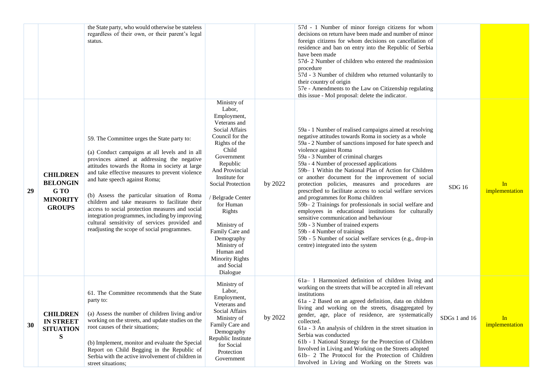|    |                                                                                | the State party, who would otherwise be stateless<br>regardless of their own, or their parent's legal<br>status.                                                                                                                                                                                                                                                                                                                                                                                                                                                                        |                                                                                                                                                                                                                                                                                                                                                                                   |         | 57d - 1 Number of minor foreign citizens for whom<br>decisions on return have been made and number of minor<br>foreign citizens for whom decisions on cancellation of<br>residence and ban on entry into the Republic of Serbia<br>have been made<br>57d-2 Number of children who entered the readmission<br>procedure<br>57d - 3 Number of children who returned voluntarily to<br>their country of origin<br>57e - Amendments to the Law on Citizenship regulating<br>this issue - MoI proposal: delete the indicator.                                                                                                                                                                                                                                                                                                                                                                      |               |                      |
|----|--------------------------------------------------------------------------------|-----------------------------------------------------------------------------------------------------------------------------------------------------------------------------------------------------------------------------------------------------------------------------------------------------------------------------------------------------------------------------------------------------------------------------------------------------------------------------------------------------------------------------------------------------------------------------------------|-----------------------------------------------------------------------------------------------------------------------------------------------------------------------------------------------------------------------------------------------------------------------------------------------------------------------------------------------------------------------------------|---------|-----------------------------------------------------------------------------------------------------------------------------------------------------------------------------------------------------------------------------------------------------------------------------------------------------------------------------------------------------------------------------------------------------------------------------------------------------------------------------------------------------------------------------------------------------------------------------------------------------------------------------------------------------------------------------------------------------------------------------------------------------------------------------------------------------------------------------------------------------------------------------------------------|---------------|----------------------|
| 29 | <b>CHILDREN</b><br><b>BELONGIN</b><br>G TO<br><b>MINORITY</b><br><b>GROUPS</b> | 59. The Committee urges the State party to:<br>(a) Conduct campaigns at all levels and in all<br>provinces aimed at addressing the negative<br>attitudes towards the Roma in society at large<br>and take effective measures to prevent violence<br>and hate speech against Roma;<br>(b) Assess the particular situation of Roma<br>children and take measures to facilitate their<br>access to social protection measures and social<br>integration programmes, including by improving<br>cultural sensitivity of services provided and<br>readjusting the scope of social programmes. | Ministry of<br>Labor,<br>Employment,<br>Veterans and<br>Social Affairs<br>Council for the<br>Rights of the<br>Child<br>Government<br>Republic<br>And Provincial<br>Institute for<br>Social Protection<br>/ Belgrade Center<br>for Human<br>Rights<br>Ministry of<br>Family Care and<br>Demography<br>Ministry of<br>Human and<br><b>Minority Rights</b><br>and Social<br>Dialogue | by 2022 | 59a - 1 Number of realised campaigns aimed at resolving<br>negative attitudes towards Roma in society as a whole<br>59a - 2 Number of sanctions imposed for hate speech and<br>violence against Roma<br>59a - 3 Number of criminal charges<br>59a - 4 Number of processed applications<br>59b– 1 Within the National Plan of Action for Children<br>or another document for the improvement of social<br>protection policies, measures and procedures are<br>prescribed to facilitate access to social welfare services<br>and programmes for Roma children<br>59b-2 Trainings for professionals in social welfare and<br>employees in educational institutions for culturally<br>sensitive communication and behaviour<br>59b - 3 Number of trained experts<br>59b - 4 Number of trainings<br>59b - 5 Number of social welfare services (e.g., drop-in<br>centre) integrated into the system | <b>SDG</b> 16 | In<br>implementation |
| 30 | <b>CHILDREN</b><br><b>IN STREET</b><br><b>SITUATION</b><br>S                   | 61. The Committee recommends that the State<br>party to:<br>(a) Assess the number of children living and/or<br>working on the streets, and update studies on the<br>root causes of their situations;<br>(b) Implement, monitor and evaluate the Special<br>Report on Child Begging in the Republic of<br>Serbia with the active involvement of children in<br>street situations;                                                                                                                                                                                                        | Ministry of<br>Labor,<br>Employment,<br>Veterans and<br>Social Affairs<br>Ministry of<br>Family Care and<br>Demography<br>Republic Institute<br>for Social<br>Protection<br>Government                                                                                                                                                                                            | by 2022 | 61a-1 Harmonized definition of children living and<br>working on the streets that will be accepted in all relevant<br>institutions<br>61a - 2 Based on an agreed definition, data on children<br>living and working on the streets, disaggregated by<br>gender, age, place of residence, are systematically<br>collected.<br>61a - 3 An analysis of children in the street situation in<br>Serbia was conducted<br>61b - 1 National Strategy for the Protection of Children<br>Involved in Living and Working on the Streets adopted<br>61b-2 The Protocol for the Protection of Children<br>Involved in Living and Working on the Streets was                                                                                                                                                                                                                                                | SDGs 1 and 16 | In<br>implementation |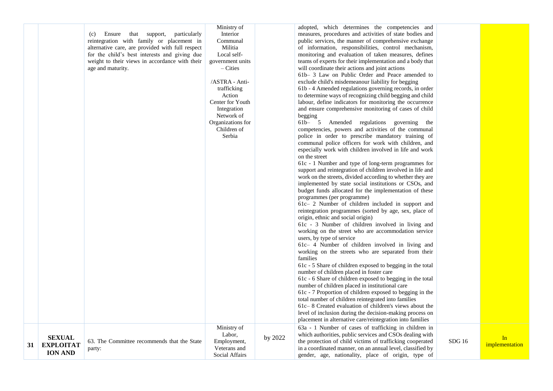|    |                                                     | Ensure that support, particularly<br>(c)<br>reintegration with family or placement in<br>alternative care, are provided with full respect<br>for the child's best interests and giving due<br>weight to their views in accordance with their<br>age and maturity. | Ministry of<br>Interior<br>Communal<br>Militia<br>Local self-<br>government units<br>$-$ Cities<br>/ASTRA - Anti-<br>trafficking<br>Action<br>Center for Youth<br>Integration<br>Network of<br>Organizations for<br>Children of<br>Serbia |         | adopted, which determines the competencies and<br>measures, procedures and activities of state bodies and<br>public services, the manner of comprehensive exchange<br>of information, responsibilities, control mechanism,<br>monitoring and evaluation of taken measures, defines<br>teams of experts for their implementation and a body that<br>will coordinate their actions and joint actions<br>61b– 3 Law on Public Order and Peace amended to<br>exclude child's misdemeanour liability for begging<br>61b - 4 Amended regulations governing records, in order<br>to determine ways of recognizing child begging and child<br>labour, define indicators for monitoring the occurrence<br>and ensure comprehensive monitoring of cases of child<br>begging<br>61b- 5 Amended regulations governing<br>the<br>competencies, powers and activities of the communal<br>police in order to prescribe mandatory training of<br>communal police officers for work with children, and<br>especially work with children involved in life and work<br>on the street<br>61c - 1 Number and type of long-term programmes for<br>support and reintegration of children involved in life and<br>work on the streets, divided according to whether they are<br>implemented by state social institutions or CSOs, and<br>budget funds allocated for the implementation of these<br>programmes (per programme)<br>61c- 2 Number of children included in support and<br>reintegration programmes (sorted by age, sex, place of<br>origin, ethnic and social origin)<br>61c - 3 Number of children involved in living and<br>working on the street who are accommodation service<br>users, by type of service<br>61c- 4 Number of children involved in living and<br>working on the streets who are separated from their<br>families<br>61c - 5 Share of children exposed to begging in the total<br>number of children placed in foster care<br>61c - 6 Share of children exposed to begging in the total<br>number of children placed in institutional care<br>61c - 7 Proportion of children exposed to begging in the<br>total number of children reintegrated into families<br>61c-8 Created evaluation of children's views about the<br>level of inclusion during the decision-making process on<br>placement in alternative care/reintegration into families |        |                      |
|----|-----------------------------------------------------|-------------------------------------------------------------------------------------------------------------------------------------------------------------------------------------------------------------------------------------------------------------------|-------------------------------------------------------------------------------------------------------------------------------------------------------------------------------------------------------------------------------------------|---------|----------------------------------------------------------------------------------------------------------------------------------------------------------------------------------------------------------------------------------------------------------------------------------------------------------------------------------------------------------------------------------------------------------------------------------------------------------------------------------------------------------------------------------------------------------------------------------------------------------------------------------------------------------------------------------------------------------------------------------------------------------------------------------------------------------------------------------------------------------------------------------------------------------------------------------------------------------------------------------------------------------------------------------------------------------------------------------------------------------------------------------------------------------------------------------------------------------------------------------------------------------------------------------------------------------------------------------------------------------------------------------------------------------------------------------------------------------------------------------------------------------------------------------------------------------------------------------------------------------------------------------------------------------------------------------------------------------------------------------------------------------------------------------------------------------------------------------------------------------------------------------------------------------------------------------------------------------------------------------------------------------------------------------------------------------------------------------------------------------------------------------------------------------------------------------------------------------------------------------------------------------------------------------------------------------------------------------------------------------|--------|----------------------|
| 31 | <b>SEXUAL</b><br><b>EXPLOITAT</b><br><b>ION AND</b> | 63. The Committee recommends that the State<br>party:                                                                                                                                                                                                             | Ministry of<br>Labor,<br>Employment,<br>Veterans and<br>Social Affairs                                                                                                                                                                    | by 2022 | 63a - 1 Number of cases of trafficking in children in<br>which authorities, public services and CSOs dealing with<br>the protection of child victims of trafficking cooperated<br>in a coordinated manner, on an annual level, classified by<br>gender, age, nationality, place of origin, type of                                                                                                                                                                                                                                                                                                                                                                                                                                                                                                                                                                                                                                                                                                                                                                                                                                                                                                                                                                                                                                                                                                                                                                                                                                                                                                                                                                                                                                                                                                                                                                                                                                                                                                                                                                                                                                                                                                                                                                                                                                                       | SDG 16 | In<br>implementation |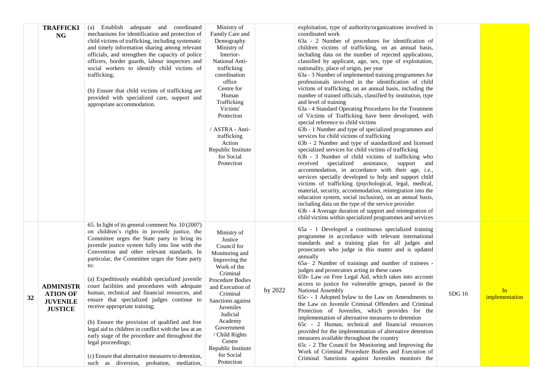|    | <b>TRAFFICKI</b> | (a) Establish adequate and coordinated                                                                 | Ministry of                   |         | exploitation, type of authority/organizations involved in                                         |                   |                |
|----|------------------|--------------------------------------------------------------------------------------------------------|-------------------------------|---------|---------------------------------------------------------------------------------------------------|-------------------|----------------|
|    | NG               | mechanisms for identification and protection of                                                        | Family Care and               |         | coordinated work                                                                                  |                   |                |
|    |                  | child victims of trafficking, including systematic                                                     | Demography                    |         | 63a - 2 Number of procedures for identification of                                                |                   |                |
|    |                  | and timely information sharing among relevant                                                          | Ministry of                   |         | children victims of trafficking, on an annual basis,                                              |                   |                |
|    |                  | officials, and strengthen the capacity of police                                                       | Interior-                     |         | including data on the number of rejected applications,                                            |                   |                |
|    |                  | officers, border guards, labour inspectors and                                                         | National Anti-                |         | classified by applicant, age, sex, type of exploitation,                                          |                   |                |
|    |                  | social workers to identify child victims of                                                            | trafficking                   |         | nationality, place of origin, per year                                                            |                   |                |
|    |                  | trafficking;                                                                                           | coordination                  |         | 63a - 3 Number of implemented training programmes for                                             |                   |                |
|    |                  |                                                                                                        | office                        |         | professionals involved in the identification of child                                             |                   |                |
|    |                  | (b) Ensure that child victims of trafficking are                                                       | Centre for                    |         | victims of trafficking, on an annual basis, including the                                         |                   |                |
|    |                  | provided with specialized care, support and                                                            | Human                         |         | number of trained officials, classified by institution, type                                      |                   |                |
|    |                  | appropriate accommodation.                                                                             | Trafficking                   |         | and level of training                                                                             |                   |                |
|    |                  |                                                                                                        | Victims'                      |         | 63a - 4 Standard Operating Procedures for the Treatment                                           |                   |                |
|    |                  |                                                                                                        | Protection                    |         | of Victims of Trafficking have been developed, with                                               |                   |                |
|    |                  |                                                                                                        |                               |         | special reference to child victims<br>63b - 1 Number and type of specialized programmes and       |                   |                |
|    |                  |                                                                                                        | / ASTRA - Anti-               |         |                                                                                                   |                   |                |
|    |                  |                                                                                                        | trafficking<br>Action         |         | services for child victims of trafficking<br>63b - 2 Number and type of standardized and licensed |                   |                |
|    |                  |                                                                                                        | Republic Institute            |         | specialized services for child victims of trafficking                                             |                   |                |
|    |                  |                                                                                                        | for Social                    |         | 63b - 3 Number of child victims of trafficking who                                                |                   |                |
|    |                  |                                                                                                        | Protection                    |         | received specialized assistance, support and                                                      |                   |                |
|    |                  |                                                                                                        |                               |         | accommodation, in accordance with their age, i.e.,                                                |                   |                |
|    |                  |                                                                                                        |                               |         | services specially developed to help and support child                                            |                   |                |
|    |                  |                                                                                                        |                               |         | victims of trafficking (psychological, legal, medical,                                            |                   |                |
|    |                  |                                                                                                        |                               |         | material, security, accommodation, reintegration into the                                         |                   |                |
|    |                  |                                                                                                        |                               |         | education system, social inclusion), on an annual basis,                                          |                   |                |
|    |                  |                                                                                                        |                               |         | including data on the type of the service provider                                                |                   |                |
|    |                  |                                                                                                        |                               |         | 63b - 4 Average duration of support and reintegration of                                          |                   |                |
|    |                  |                                                                                                        |                               |         | child victims within specialized programmes and services                                          |                   |                |
|    |                  | 65. In light of its general comment No. 10 (2007)                                                      |                               |         | 65a - 1 Developed a continuous specialized training                                               |                   |                |
|    |                  | on children's rights in juvenile justice, the                                                          | Ministry of                   |         | programme in accordance with relevant international                                               |                   |                |
|    |                  | Committee urges the State party to bring its                                                           | Justice                       |         | standards and a training plan for all judges and                                                  |                   |                |
|    |                  | juvenile justice system fully into line with the                                                       | Council for                   |         | prosecutors who judge in this matter and is updated                                               |                   |                |
|    |                  | Convention and other relevant standards. In                                                            | Monitoring and                |         | annually                                                                                          |                   |                |
|    |                  | particular, the Committee urges the State party                                                        | Improving the                 |         | 65a – 2 Number of trainings and number of trainees -                                              |                   |                |
|    |                  | to:                                                                                                    | Work of the                   |         | judges and prosecutors acting in these cases                                                      |                   |                |
|    |                  | (a) Expeditiously establish specialized juvenile                                                       | Criminal                      |         | 65b- Law on Free Legal Aid, which takes into account                                              |                   |                |
|    | <b>ADMINISTR</b> | court facilities and procedures with adequate                                                          | Procedure Bodies              |         | access to justice for vulnerable groups, passed in the                                            |                   |                |
|    |                  | human, technical and financial resources, and                                                          | and Execution of              | by 2022 | National Assembly                                                                                 |                   | In             |
| 32 | <b>ATION OF</b>  | ensure that specialized judges continue to                                                             | Criminal<br>Sanctions against |         | 65c- - 1 Adopted bylaw to the Law on Amendments to                                                | SDG <sub>16</sub> | implementation |
|    | <b>JUVENILE</b>  | receive appropriate training;                                                                          | Juveniles                     |         | the Law on Juvenile Criminal Offenders and Criminal                                               |                   |                |
|    | <b>JUSTICE</b>   |                                                                                                        | Judicial                      |         | Protection of Juveniles, which provides for the                                                   |                   |                |
|    |                  |                                                                                                        | Academy                       |         | implementation of alternative measures to detention                                               |                   |                |
|    |                  | (b) Ensure the provision of qualified and free<br>legal aid to children in conflict with the law at an | Government                    |         | 65c - 2 Human, technical and financial resources                                                  |                   |                |
|    |                  | early stage of the procedure and throughout the                                                        | / Child Rights                |         | provided for the implementation of alternative detention                                          |                   |                |
|    |                  | legal proceedings;                                                                                     | Centre                        |         | measures available throughout the country                                                         |                   |                |
|    |                  |                                                                                                        | Republic Institute            |         | 65c - 2 The Council for Monitoring and Improving the                                              |                   |                |
|    |                  | (c) Ensure that alternative measures to detention,                                                     | for Social                    |         | Work of Criminal Procedure Bodies and Execution of                                                |                   |                |
|    |                  | such as diversion, probation, mediation,                                                               | Protection                    |         | Criminal Sanctions against Juveniles monitors the                                                 |                   |                |
|    |                  |                                                                                                        |                               |         |                                                                                                   |                   |                |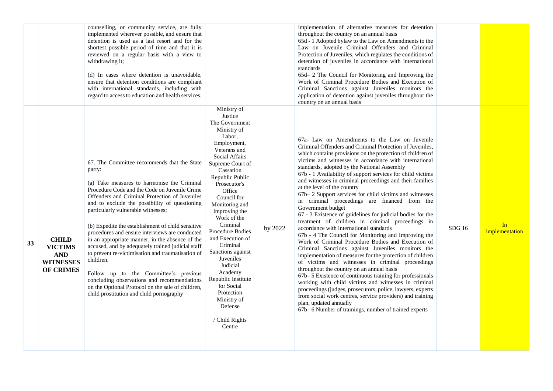|    |                                                                                      | implemented wherever possible, and ensure that<br>detention is used as a last resort and for the<br>shortest possible period of time and that it is<br>reviewed on a regular basis with a view to<br>withdrawing it;<br>(d) In cases where detention is unavoidable,<br>ensure that detention conditions are compliant<br>with international standards, including with<br>regard to access to education and health services.                                                                                                                                                                                                                                                                                                                                             | Ministry of<br>Justice<br>The Government                                                                                                                                                                                                                                                                                                                                                                                                               |         | throughout the country on an annual basis<br>65d - 1 Adopted bylaw to the Law on Amendments to the<br>Law on Juvenile Criminal Offenders and Criminal<br>Protection of Juveniles, which regulates the conditions of<br>detention of juveniles in accordance with international<br>standards<br>65d-2 The Council for Monitoring and Improving the<br>Work of Criminal Procedure Bodies and Execution of<br>Criminal Sanctions against Juveniles monitors the<br>application of detention against juveniles throughout the<br>country on an annual basis                                                                                                                                                                                                                                                                                                                                                                                                                                                                                                                                                                                                                                                                                                                                                                                                                                                  |       |                      |  |
|----|--------------------------------------------------------------------------------------|--------------------------------------------------------------------------------------------------------------------------------------------------------------------------------------------------------------------------------------------------------------------------------------------------------------------------------------------------------------------------------------------------------------------------------------------------------------------------------------------------------------------------------------------------------------------------------------------------------------------------------------------------------------------------------------------------------------------------------------------------------------------------|--------------------------------------------------------------------------------------------------------------------------------------------------------------------------------------------------------------------------------------------------------------------------------------------------------------------------------------------------------------------------------------------------------------------------------------------------------|---------|----------------------------------------------------------------------------------------------------------------------------------------------------------------------------------------------------------------------------------------------------------------------------------------------------------------------------------------------------------------------------------------------------------------------------------------------------------------------------------------------------------------------------------------------------------------------------------------------------------------------------------------------------------------------------------------------------------------------------------------------------------------------------------------------------------------------------------------------------------------------------------------------------------------------------------------------------------------------------------------------------------------------------------------------------------------------------------------------------------------------------------------------------------------------------------------------------------------------------------------------------------------------------------------------------------------------------------------------------------------------------------------------------------|-------|----------------------|--|
| 33 | <b>CHILD</b><br><b>VICTIMS</b><br><b>AND</b><br><b>WITNESSES</b><br><b>OF CRIMES</b> | 67. The Committee recommends that the State<br>party:<br>(a) Take measures to harmonise the Criminal<br>Procedure Code and the Code on Juvenile Crime<br>Offenders and Criminal Protection of Juveniles<br>and to exclude the possibility of questioning<br>particularly vulnerable witnesses;<br>(b) Expedite the establishment of child sensitive<br>procedures and ensure interviews are conducted<br>in an appropriate manner, in the absence of the<br>accused, and by adequately trained judicial staff<br>to prevent re-victimisation and traumatisation of<br>children.<br>Follow up to the Committee's previous<br>concluding observations and recommendations<br>on the Optional Protocol on the sale of children,<br>child prostitution and child pornography | Ministry of<br>Labor,<br>Employment,<br>Veterans and<br>Social Affairs<br>Supreme Court of<br>Cassation<br>Republic Public<br>Prosecutor's<br>Office<br>Council for<br>Monitoring and<br>Improving the<br>Work of the<br>Criminal<br>Procedure Bodies<br>and Execution of<br>Criminal<br>Sanctions against<br>Juveniles<br>Judicial<br>Academy<br>Republic Institute<br>for Social<br>Protection<br>Ministry of<br>Defense<br>/ Child Rights<br>Centre | by 2022 | 67a- Law on Amendments to the Law on Juvenile<br>Criminal Offenders and Criminal Protection of Juveniles,<br>which contains provisions on the protection of children of<br>victims and witnesses in accordance with international<br>standards, adopted by the National Assembly<br>67b - 1 Availability of support services for child victims<br>and witnesses in criminal proceedings and their families<br>at the level of the country<br>67b-2 Support services for child victims and witnesses<br>in criminal proceedings are financed from the<br>Government budget<br>67 - 3 Existence of guidelines for judicial bodies for the<br>treatment of children in criminal proceedings in<br>accordance with international standards<br>67b - 4 The Council for Monitoring and Improving the<br>Work of Criminal Procedure Bodies and Execution of<br>Criminal Sanctions against Juveniles monitors the<br>implementation of measures for the protection of children<br>of victims and witnesses in criminal proceedings<br>throughout the country on an annual basis<br>67b–5 Existence of continuous training for professionals<br>working with child victims and witnesses in criminal<br>proceedings (judges, prosecutors, police, lawyers, experts<br>from social work centres, service providers) and training<br>plan, updated annually<br>67b-6 Number of trainings, number of trained experts | SDG16 | In<br>implementation |  |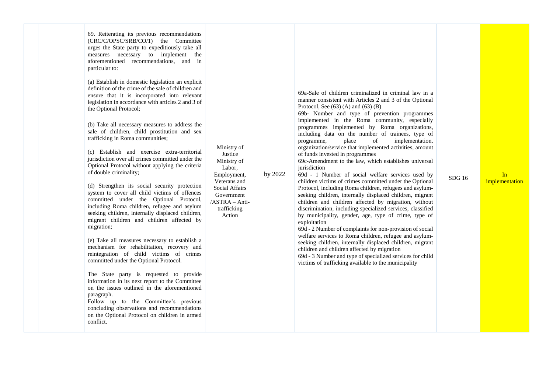| 69. Reiterating its previous recommendations<br>(CRC/C/OPSC/SRB/CO/1) the Committee<br>urges the State party to expeditiously take all<br>measures necessary to implement the<br>aforementioned recommendations, and in<br>particular to:<br>(a) Establish in domestic legislation an explicit<br>definition of the crime of the sale of children and<br>ensure that it is incorporated into relevant<br>legislation in accordance with articles 2 and 3 of<br>the Optional Protocol;<br>(b) Take all necessary measures to address the<br>sale of children, child prostitution and sex<br>trafficking in Roma communities;<br>(c) Establish and exercise extra-territorial<br>jurisdiction over all crimes committed under the<br>Optional Protocol without applying the criteria<br>of double criminality;<br>(d) Strengthen its social security protection<br>system to cover all child victims of offences<br>committed under the Optional Protocol,<br>including Roma children, refugee and asylum<br>seeking children, internally displaced children,<br>migrant children and children affected by<br>migration;<br>(e) Take all measures necessary to establish a<br>mechanism for rehabilitation, recovery and<br>reintegration of child victims of crimes<br>committed under the Optional Protocol.<br>The State party is requested to provide<br>information in its next report to the Committee<br>on the issues outlined in the aforementioned<br>paragraph.<br>Follow up to the Committee's previous<br>concluding observations and recommendations<br>on the Optional Protocol on children in armed<br>conflict. | Ministry of<br>Justice<br>Ministry of<br>Labor,<br>Employment,<br>Veterans and<br>Social Affairs<br>Government<br>/ASTRA - Anti-<br>trafficking<br>Action | by 2022 | 69a-Sale of children criminalized in criminal law in a<br>manner consistent with Articles 2 and 3 of the Optional<br>Protocol, See $(63)$ (A) and $(63)$ (B)<br>69b- Number and type of prevention programmes<br>implemented in the Roma community, especially<br>programmes implemented by Roma organizations,<br>including data on the number of trainees, type of<br>implementation,<br>place<br>programme,<br>of<br>organization/service that implemented activities, amount<br>of funds invested in programmes<br>69c-Amendment to the law, which establishes universal<br>jurisdiction<br>69d - 1 Number of social welfare services used by<br>children victims of crimes committed under the Optional<br>Protocol, including Roma children, refugees and asylum-<br>seeking children, internally displaced children, migrant<br>children and children affected by migration, without<br>discrimination, including specialized services, classified<br>by municipality, gender, age, type of crime, type of<br>exploitation<br>69d - 2 Number of complaints for non-provision of social<br>welfare services to Roma children, refugee and asylum-<br>seeking children, internally displaced children, migrant<br>children and children affected by migration<br>69d - 3 Number and type of specialized services for child<br>victims of trafficking available to the municipality | <b>SDG16</b> | In<br>implementation |
|--------------------------------------------------------------------------------------------------------------------------------------------------------------------------------------------------------------------------------------------------------------------------------------------------------------------------------------------------------------------------------------------------------------------------------------------------------------------------------------------------------------------------------------------------------------------------------------------------------------------------------------------------------------------------------------------------------------------------------------------------------------------------------------------------------------------------------------------------------------------------------------------------------------------------------------------------------------------------------------------------------------------------------------------------------------------------------------------------------------------------------------------------------------------------------------------------------------------------------------------------------------------------------------------------------------------------------------------------------------------------------------------------------------------------------------------------------------------------------------------------------------------------------------------------------------------------------------------------------------------------------|-----------------------------------------------------------------------------------------------------------------------------------------------------------|---------|-----------------------------------------------------------------------------------------------------------------------------------------------------------------------------------------------------------------------------------------------------------------------------------------------------------------------------------------------------------------------------------------------------------------------------------------------------------------------------------------------------------------------------------------------------------------------------------------------------------------------------------------------------------------------------------------------------------------------------------------------------------------------------------------------------------------------------------------------------------------------------------------------------------------------------------------------------------------------------------------------------------------------------------------------------------------------------------------------------------------------------------------------------------------------------------------------------------------------------------------------------------------------------------------------------------------------------------------------------------------------------------------|--------------|----------------------|
|--------------------------------------------------------------------------------------------------------------------------------------------------------------------------------------------------------------------------------------------------------------------------------------------------------------------------------------------------------------------------------------------------------------------------------------------------------------------------------------------------------------------------------------------------------------------------------------------------------------------------------------------------------------------------------------------------------------------------------------------------------------------------------------------------------------------------------------------------------------------------------------------------------------------------------------------------------------------------------------------------------------------------------------------------------------------------------------------------------------------------------------------------------------------------------------------------------------------------------------------------------------------------------------------------------------------------------------------------------------------------------------------------------------------------------------------------------------------------------------------------------------------------------------------------------------------------------------------------------------------------------|-----------------------------------------------------------------------------------------------------------------------------------------------------------|---------|-----------------------------------------------------------------------------------------------------------------------------------------------------------------------------------------------------------------------------------------------------------------------------------------------------------------------------------------------------------------------------------------------------------------------------------------------------------------------------------------------------------------------------------------------------------------------------------------------------------------------------------------------------------------------------------------------------------------------------------------------------------------------------------------------------------------------------------------------------------------------------------------------------------------------------------------------------------------------------------------------------------------------------------------------------------------------------------------------------------------------------------------------------------------------------------------------------------------------------------------------------------------------------------------------------------------------------------------------------------------------------------------|--------------|----------------------|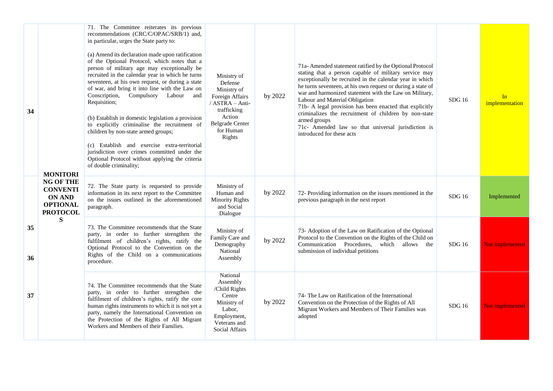| 34       | <b>MONITORI</b>                                                                            | 71. The Committee reiterates its previous<br>recommendations (CRC/C/OPAC/SRB/1) and,<br>in particular, urges the State party to:<br>(a) Amend its declaration made upon ratification<br>of the Optional Protocol, which notes that a<br>person of military age may exceptionally be<br>recruited in the calendar year in which he turns<br>seventeen, at his own request, or during a state<br>of war, and bring it into line with the Law on<br>Conscription, Compulsory Labour and<br>Requisition;<br>(b) Establish in domestic legislation a provision<br>to explicitly criminalise the recruitment of<br>children by non-state armed groups;<br>(c) Establish and exercise extra-territorial<br>jurisdiction over crimes committed under the<br>Optional Protocol without applying the criteria<br>of double criminality; | Ministry of<br>Defense<br>Ministry of<br>Foreign Affairs<br>/ ASTRA - Anti-<br>trafficking<br>Action<br><b>Belgrade Center</b><br>for Human<br>Rights | by 2022 | 71a- Amended statement ratified by the Optional Protocol<br>stating that a person capable of military service may<br>exceptionally be recruited in the calendar year in which<br>he turns seventeen, at his own request or during a state of<br>war and harmonized statement with the Law on Military,<br>Labour and Material Obligation<br>71b- A legal provision has been enacted that explicitly<br>criminalizes the recruitment of children by non-state<br>armed groups<br>71c- Amended law so that universal jurisdiction is<br>introduced for these acts | SDG 16        | In<br>implementation |
|----------|--------------------------------------------------------------------------------------------|-------------------------------------------------------------------------------------------------------------------------------------------------------------------------------------------------------------------------------------------------------------------------------------------------------------------------------------------------------------------------------------------------------------------------------------------------------------------------------------------------------------------------------------------------------------------------------------------------------------------------------------------------------------------------------------------------------------------------------------------------------------------------------------------------------------------------------|-------------------------------------------------------------------------------------------------------------------------------------------------------|---------|-----------------------------------------------------------------------------------------------------------------------------------------------------------------------------------------------------------------------------------------------------------------------------------------------------------------------------------------------------------------------------------------------------------------------------------------------------------------------------------------------------------------------------------------------------------------|---------------|----------------------|
|          | <b>NG OF THE</b><br><b>CONVENTI</b><br><b>ON AND</b><br><b>OPTIONAL</b><br><b>PROTOCOL</b> | 72. The State party is requested to provide<br>information in its next report to the Committee<br>on the issues outlined in the aforementioned<br>paragraph.                                                                                                                                                                                                                                                                                                                                                                                                                                                                                                                                                                                                                                                                  | Ministry of<br>Human and<br><b>Minority Rights</b><br>and Social<br>Dialogue                                                                          | by 2022 | 72- Providing information on the issues mentioned in the<br>previous paragraph in the next report                                                                                                                                                                                                                                                                                                                                                                                                                                                               | <b>SDG</b> 16 | Implemented          |
| 35<br>36 | S                                                                                          | 73. The Committee recommends that the State<br>party, in order to further strengthen the<br>fulfilment of children's rights, ratify the<br>Optional Protocol to the Convention on the<br>Rights of the Child on a communications<br>procedure.                                                                                                                                                                                                                                                                                                                                                                                                                                                                                                                                                                                | Ministry of<br>Family Care and<br>Demography<br>National<br>Assembly                                                                                  | by 2022 | 73- Adoption of the Law on Ratification of the Optional<br>Protocol to the Convention on the Rights of the Child on<br>Communication Procedures, which allows the<br>submission of individual petitions                                                                                                                                                                                                                                                                                                                                                         | SDG16         | Not implemented      |
| 37       |                                                                                            | 74. The Committee recommends that the State<br>party, in order to further strengthen the<br>fulfilment of children's rights, ratify the core<br>human rights instruments to which it is not yet a<br>party, namely the International Convention on<br>the Protection of the Rights of All Migrant<br>Workers and Members of their Families.                                                                                                                                                                                                                                                                                                                                                                                                                                                                                   | National<br>Assembly<br>/Child Rights<br>Centre<br>Ministry of<br>Labor,<br>Employment,<br>Veterans and<br><b>Social Affairs</b>                      | by 2022 | 74- The Law on Ratification of the International<br>Convention on the Protection of the Rights of All<br>Migrant Workers and Members of Their Families was<br>adopted                                                                                                                                                                                                                                                                                                                                                                                           | SDG16         | Not implemented      |